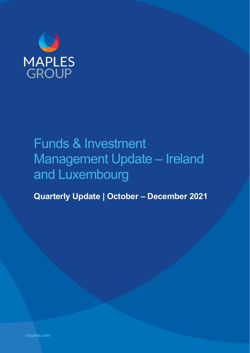

# Funds & Investment Management Update – Ireland and Luxembourg

**Quarterly Update | October – December 2021**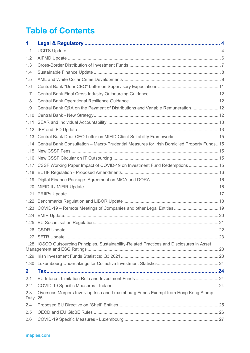# **Table of Contents**

| 1              |                                                                                                 |  |
|----------------|-------------------------------------------------------------------------------------------------|--|
| 1.1            |                                                                                                 |  |
| 1.2            |                                                                                                 |  |
| 1.3            |                                                                                                 |  |
| 1.4            |                                                                                                 |  |
| 1.5            |                                                                                                 |  |
| 1.6            |                                                                                                 |  |
| 1.7            |                                                                                                 |  |
| 1.8            |                                                                                                 |  |
| 1.9            | Central Bank Q&A on the Payment of Distributions and Variable Remuneration 12                   |  |
| 1.10           |                                                                                                 |  |
| 1.11           |                                                                                                 |  |
| 1.12           |                                                                                                 |  |
|                | 1.13 Central Bank Dear CEO Letter on MIFID Client Suitability Frameworks  15                    |  |
|                | 1.14 Central Bank Consultation - Macro-Prudential Measures for Irish Domiciled Property Funds15 |  |
| 1.15           |                                                                                                 |  |
| 1.16           |                                                                                                 |  |
|                | 1.17 CSSF Working Paper Impact of COVID-19 on Investment Fund Redemptions  15                   |  |
|                |                                                                                                 |  |
| 1.19           |                                                                                                 |  |
| 1.20           |                                                                                                 |  |
| 1.21           |                                                                                                 |  |
| 1.22           |                                                                                                 |  |
|                | 1.23 COVID-19 - Remote Meetings of Companies and other Legal Entities 19                        |  |
|                |                                                                                                 |  |
|                |                                                                                                 |  |
|                |                                                                                                 |  |
|                |                                                                                                 |  |
|                | 1.28 IOSCO Outsourcing Principles, Sustainability-Related Practices and Disclosures in Asset    |  |
|                |                                                                                                 |  |
|                |                                                                                                 |  |
| $\overline{2}$ |                                                                                                 |  |
| 2.1            |                                                                                                 |  |
| 2.2            |                                                                                                 |  |
| 2.3<br>Duty    | Overseas Mergers Involving Irish and Luxembourg Funds Exempt from Hong Kong Stamp<br>25         |  |
| 2.4            |                                                                                                 |  |
| 2.5            |                                                                                                 |  |
| 2.6            |                                                                                                 |  |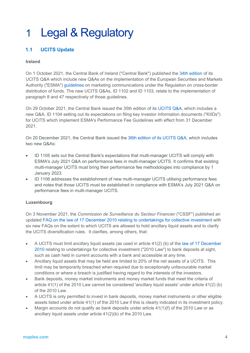# 1 Legal & Regulatory

# **1.1 UCITS Update**

#### **Ireland**

On 1 October 2021, the Central Bank of Ireland ("Central Bank") published the [34th edition](https://www.centralbank.ie/docs/default-source/regulation/industry-market-sectors/funds/ucits/guidance/ucits-q-a-34th-edition.pdf?sfvrsn=2) of its UCITS Q&A which include new Q&As on the implementation of the European Securities and Markets Authority ("ESMA") [guidelines](https://www.esma.europa.eu/document/guidelines-marketing-communications-under-regulation-cross-border-distribution-funds) on marketing communications under the Regulation on cross-border distribution of funds. The new UCITS Q&As, ID 1102 and ID 1103, relate to the implementation of paragraph 8 and 47 respectively of those guidelines.

On 29 October 2021, the Central Bank issued the 35th edition of its [UCITS Q&A,](https://www.centralbank.ie/regulation/markets-update/article/markets-update-issue-14-2021/central-bank-of-ireland/central-bank-published-thirty-fifth-edition-of-the-central-bank-ucits-q-a-document) which includes a new Q&A, ID 1104 setting out its expectations on filing key investor information documents ("KIIDs") for UCITS which implement ESMA's Performance Fee Guidelines with effect from 31 December 2021.

On 20 December 2021, the Central Bank issued the [36th edition of its UCITS Q&A,](https://3257c520b9b442bab9c740f92d309a26.svc.dynamics.com/t/t/0Mwccw098MzwQhsEfjDZpQ7qygmNBbzuWmbKtvwclfox/h8Aq11Elud7gI7XrTx6qtHOC7IogkujPDWFFf4FM74Qx) which includes two new Q&As:

- ID 1105 sets out the Central Bank's expectations that multi-manager UCITS will comply with ESMA's July 2021 Q&A on performance fees in multi-manager UCITS. It confirms that existing multi-manager UCITS must bring their performance fee methodologies into compliance by 1 January 2023.
- ID 1106 addresses the establishment of new multi-manager UCITS utilising performance fees and notes that those UCITS must be established in compliance with ESMA's July 2021 Q&A on performance fees in multi-manager UCITS.

#### **Luxembourg**

On 3 November 2021, the *Commission de Surveillance du Secteur Financier* ("CSSF") published an updated [FAQ on the law of 17 December 2010 relating to undertakings for collective investment](https://www.cssf.lu/en/Document/faq-concerning-the-luxembourg-law-of-17-december-2010-relating-to-undertakings-for-collective-investment-version-13/) with six new FAQs on the extent to which UCITS are allowed to hold ancillary liquid assets and to clarify the UCITS diversification rules. It clarifies, among others, that:

- A UCITS must limit ancillary liquid assets (as used in article 41(2) (b) of the [law of 17 December](https://www.cssf.lu/en/Document/law-of-17-december-2010/)  [2010](https://www.cssf.lu/en/Document/law-of-17-december-2010/) relating to undertakings for collective investment ("2010 Law") to bank deposits at sight, such as cash held in current accounts with a bank and accessible at any time.
- Ancillary liquid assets that may be held are limited to 20% of the net assets of a UCITS. This limit may be temporarily breached when required due to exceptionally unfavourable market conditions or where a breach is justified having regard to the interests of the investors.
- Bank deposits, money market instruments and money market funds that meet the criteria of article 41(1) of the 2010 Law cannot be considered 'ancillary liquid assets' under article 41(2) (b) of the 2010 Law.
- A UCITS is only permitted to invest in bank deposits, money market instruments or other eligible assets listed under article 41(1) of the 2010 Law if this is clearly indicated in its investment policy.
- Margin accounts do not qualify as bank deposits under article  $41(1)(f)$  of the 2010 Law or as ancillary liquid assets under article 41(2)(b) of the 2010 Law.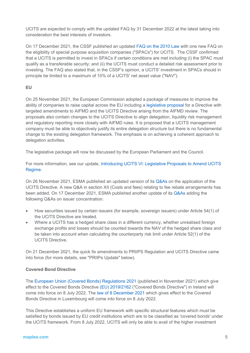UCITS are expected to comply with the updated FAQ by 31 December 2022 at the latest taking into consideration the best interests of investors.

On 17 December 2021, the CSSF published an updated [FAQ on the 2010](https://www.cssf.lu/en/Document/faq-concerning-the-luxembourg-law-of-17-december-2010-relating-to-undertakings-for-collective-investment-version-14/) Law with one new FAQ on the eligibility of special purpose acquisition companies ("SPACs") for UCITS. The CSSF confirmed that a UCITS is permitted to invest in SPACs if certain conditions are met including (i) the SPAC must qualify as a transferable security; and (ii) the UCITS must conduct a detailed risk assessment prior to investing. The FAQ also stated that, in the CSSF's opinion, a UCITS' investment in SPACs should in principle be limited to a maximum of 10% of a UCITS' net asset value ("NAV").

#### **EU**

On 25 November 2021, the European Commission adopted a package of measures to improve the ability of companies to raise capital across the EU including a [legislative proposal](https://ec.europa.eu/commission/presscorner/detail/en/ip_21_6251) for a Directive with targeted amendments to AIFMD and the UCITS Directive arising from the AIFMD review. The proposals also contain changes to the UCITS Directive to align delegation, liquidity risk management and regulatory reporting more closely with AIFMD rules. It is proposed that a UCITS management company must be able to objectively justify its entire delegation structure but there is no fundamental change to the existing delegation framework. The emphasis is on achieving a coherent approach to delegation activities.

The legislative package will now be discussed by the European Parliament and the Council.

For more information, see our update, [Introducing UCITS VI: Legislative Proposals to Amend UCITS](https://maples.com/en/knowledge-centre/2021/12/introducing-ucits-vi-legislative-proposals-to-amend-ucits-regime)  [Regime.](https://maples.com/en/knowledge-centre/2021/12/introducing-ucits-vi-legislative-proposals-to-amend-ucits-regime)

On 26 November 2021, ESMA published an updated version of its [Q&As](https://www.esma.europa.eu/sites/default/files/library/esma34-43-392_qa_on_application_of_the_ucits_directive.pdf) on the application of the UCITS Directive. A new Q&A in section XII (Costs and fees) relating to fee rebate arrangements has been added. On 17 December 2021, ESMA published another update of its [Q&As](https://www.esma.europa.eu/sites/default/files/library/esma34_43_392_qa_on_application_of_the_ucits_directive.pdf) adding the following Q&As on issuer concentration:

- How securities issued by certain issuers (for example, sovereign issuers) under Article 54(1) of the UCITS Directive are treated.
- Where a UCITS has a hedged share class in a different currency, whether unrealised foreign exchange profits and losses should be counted towards the NAV of the hedged share class and be taken into account when calculating the counterparty risk limit under Article 52(1) of the UCITS Directive.

On 21 December 2021, the quick fix amendments to PRIIPS Regulation and UCITS Directive came into force (for more details, see "PRIIPs Update" below).

#### **Covered Bond Directive**

The [European Union \(Covered Bonds\) Regulations 2021](https://www.irishstatutebook.ie/eli/2021/si/576/made/en/print) (published in November 2021) which give effect to the Covered Bonds Directive [\(EU\) 2019/2162](https://eur-lex.europa.eu/legal-content/EN/TXT/?uri=CELEX%3A32019L2162&qid=1641375853251) ("Covered Bonds Directive") in Ireland will come into force on 8 July 2022. The [law of 8 December 2021](https://www.cssf.lu/en/Document/law-of-8-december-2021/) which gives effect to the Covered Bonds Directive in Luxembourg will come into force on 8 July 2022.

This Directive establishes a uniform EU framework with specific structural features which must be satisfied by bonds issued by EU credit institutions which are to be classified as 'covered bonds' under the UCITS framework. From 8 July 2022, UCITS will only be able to avail of the higher investment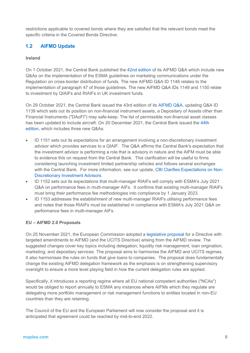restrictions applicable to covered bonds where they are satisfied that the relevant bonds meet the specific criteria in the Covered Bonds Directive.

# **1.2 AIFMD Update**

#### **Ireland**

On 1 October 2021, the Central Bank published the [42nd edition](https://www.centralbank.ie/docs/default-source/regulation/industry-market-sectors/funds/aifs/guidance/qa/aifmd-q-a-42nd-edition.pdf?sfvrsn=2) of its AIFMD Q&A which include new Q&As on the implementation of the ESMA guidelines on marketing communications under the Regulation on cross-border distribution of funds. The new AIFMD Q&A ID 1148 relates to the implementation of paragraph 47 of those guidelines. The new AIFMD Q&A IDs 1149 and 1150 relate to investment by QIAIFs and RIAIFs in UK investment funds.

On 29 October 2021, the Central Bank issued the 43rd edition of its [AIFMD Q&A,](https://www.centralbank.ie/home) updating Q&A ID 1139 which sets out its position on non-financial instrument assets, a Depositary of Assets other than Financial Instruments ("DAoFI") may safe-keep. The list of permissible non-financial asset classes has been updated to include aircraft. On 20 December 2021, the Central Bank issued the [44th](https://3257c520b9b442bab9c740f92d309a26.svc.dynamics.com/t/t/0yB2B7fRWsGQQUcl0PhNGsAF9htjkZRs54gKE1vmSC8x/h8Aq11Elud7gI7XrTx6qtHOC7IogkujPDWFFf4FM74Qx)  [edition,](https://3257c520b9b442bab9c740f92d309a26.svc.dynamics.com/t/t/0yB2B7fRWsGQQUcl0PhNGsAF9htjkZRs54gKE1vmSC8x/h8Aq11Elud7gI7XrTx6qtHOC7IogkujPDWFFf4FM74Qx) which includes three new Q&As:

- ID 1151 sets out its expectations for an arrangement involving a non-discretionary investment advisor which provides services to a QIAIF. The Q&A affirms the Central Bank's expectation that the investment advisor is performing a role that is advisory in nature and the AIFM must be able to evidence this on request from the Central Bank. This clarification will be useful to firms considering launching investment limited partnership vehicles and follows several exchanges with the Central Bank. For more information, see our update, CBI Clarifies [Expectations on Non-](https://maples.com/en/knowledge-centre/2022/1/cbi-clarifies-expectations-on-non-discretionary-investment-advisors)[Discretionary Investment Advisors.](https://maples.com/en/knowledge-centre/2022/1/cbi-clarifies-expectations-on-non-discretionary-investment-advisors)
- ID 1152 sets out its expectations that multi-manager RIAIFs will comply with ESMA's July 2021 Q&A on performance fees in multi-manager AIFs. It confirms that existing multi-manager RIAIFs must bring their performance fee methodologies into compliance by 1 January 2023.
- ID 1153 addresses the establishment of new multi-manager RIAIFs utilising performance fees and notes that those RIAIFs must be established in compliance with ESMA's July 2021 Q&A on performance fees in multi-manager AIFs.

#### **EU – AIFMD 2.0 Proposals**

On 25 November 2021, the European Commission adopted a [legislative proposal](https://ec.europa.eu/commission/presscorner/detail/en/ip_21_6251) for a Directive with targeted amendments to AIFMD (and the UCITS Directive) arising from the AIFMD review. The suggested changes cover key topics including delegation; liquidity risk management; loan origination; marketing; and depositary services. The proposal aims to harmonise the AIFMD and UCITS regimes. It also harmonises the rules on funds that give loans to companies. The proposal does fundamentally change the existing AIFMD delegation framework as the emphasis is on strengthening supervisory oversight to ensure a more level playing field in how the current delegation rules are applied.

Specifically, it introduces a reporting regime where all EU national competent authorities ("NCAs") would be obliged to report annually to ESMA any instances where AIFMs which they regulate are delegating more portfolio management or risk management functions to entities located in non-EU countries than they are retaining.

The Council of the EU and the European Parliament will now consider the proposal and it is anticipated that agreement could be reached by mid-to-end 2022.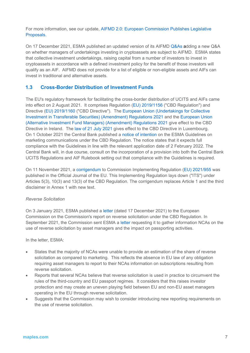For more information, see our update, [AIFMD 2.0: European Commission Publishes Legislative](https://maples.com/en/knowledge-centre/2021/12/aifmd-2-0-european-commission-publishes-legislative-proposals)  [Proposals.](https://maples.com/en/knowledge-centre/2021/12/aifmd-2-0-european-commission-publishes-legislative-proposals)

On 17 December 2021, ESMA published an updated version of its AIFMD [Q&As](https://www.esma.europa.eu/sites/default/files/library/esma34-32-352_qa_aifmd.pdf) adding a new Q&A on whether managers of undertakings investing in cryptoassets are subject to AIFMD. ESMA states that collective investment undertakings, raising capital from a number of investors to invest in cryptoassets in accordance with a defined investment policy for the benefit of those investors will qualify as an AIF. AIFMD does not provide for a list of eligible or non-eligible assets and AIFs can invest in traditional and alternative assets.

### **1.3 Cross-Border Distribution of Investment Funds**

The EU's regulatory framework for facilitating the cross-border distribution of UCITS and AIFs came into effect on 2 August 2021. It comprises Regulation [\(EU\) 2019/1156](https://eur-lex.europa.eu/legal-content/EN/TXT/?uri=CELEX%3A32019R1156) ("CBD Regulation") and Directive [\(EU\) 2019/1160](https://eur-lex.europa.eu/legal-content/EN/TXT/?uri=CELEX%3A32019L1160) ("CBD Directive"). The [European Union \(Undertakings for Collective](http://email.mediahq.com/ls/click?upn=dzys9oEMACnhhrfSbxnCNKdMRBt5J4l9exPgzuEJ-2F6H-2BVrW4pjWYfGcc37BtQu4khBr3dv-2FbrZRCUukU25WXcb-2F3te8gOfYkGcu52W0Gezra1fH0HFkaCVvU0a54X9g518vqKqCn7813dHog7hsG3-2BgbN7TtgPqAZalM9Iv3rVYCqrN3sZfi5NznT1rZMyOqH2rbItAmGjn6ktEWF6P3tA-3D-3DkLTO_UhPZkopTI9XxQT7tooyXT72ZAz5haFcBhpkOKMAVJFYFH9u8FK7KLjJYdS4TB3lq5183RpxSV9-2B6-2BvjGtVXMd8Vy1pnV5-2BMJ9YR0QafaqDBga-2Ba7G1xAmCa-2BslJ7lD32E4x-2BjExw8GrHjZnm320JY-2Bz9J-2BaOY-2F-2BWq4UCDIvnCVcu9s5uq7es-2FHamg7LPYb2yh3pWUK4ihrfYvWxBAYSxuPtDlKmbJnYxnYgRefAv5mfqiEC1T-2F75vNLdKl12UO26OoTFs-2FxokLlOQoGbAd9fcg-3D-3D)  [Investment in Transferable Securities\) \(Amendment\) Regulations 2021](http://email.mediahq.com/ls/click?upn=dzys9oEMACnhhrfSbxnCNKdMRBt5J4l9exPgzuEJ-2F6H-2BVrW4pjWYfGcc37BtQu4khBr3dv-2FbrZRCUukU25WXcb-2F3te8gOfYkGcu52W0Gezra1fH0HFkaCVvU0a54X9g518vqKqCn7813dHog7hsG3-2BgbN7TtgPqAZalM9Iv3rVYCqrN3sZfi5NznT1rZMyOqH2rbItAmGjn6ktEWF6P3tA-3D-3DkLTO_UhPZkopTI9XxQT7tooyXT72ZAz5haFcBhpkOKMAVJFYFH9u8FK7KLjJYdS4TB3lq5183RpxSV9-2B6-2BvjGtVXMd8Vy1pnV5-2BMJ9YR0QafaqDBga-2Ba7G1xAmCa-2BslJ7lD32E4x-2BjExw8GrHjZnm320JY-2Bz9J-2BaOY-2F-2BWq4UCDIvnCVcu9s5uq7es-2FHamg7LPYb2yh3pWUK4ihrfYvWxBAYSxuPtDlKmbJnYxnYgRefAv5mfqiEC1T-2F75vNLdKl12UO26OoTFs-2FxokLlOQoGbAd9fcg-3D-3D) and the [European](http://email.mediahq.com/ls/click?upn=dzys9oEMACnhhrfSbxnCNKdMRBt5J4l9exPgzuEJ-2F6GBVVVu5vzCCPjdXIgNMUvAHT9bHXlr65s6sDird5XQhKr00f50tCYLOOtzLwHPvOk8rihcBWDCBOkAD9G6lvOSPUV6smiNgu-2F5uWq2USxjJScmpIa0MxTOXSpfX79wAzI-3Dz4hX_UhPZkopTI9XxQT7tooyXT72ZAz5haFcBhpkOKMAVJFYFH9u8FK7KLjJYdS4TB3lq5183RpxSV9-2B6-2BvjGtVXMd8Vy1pnV5-2BMJ9YR0QafaqDBga-2Ba7G1xAmCa-2BslJ7lD323clMlIYqFmhVQ0SsC2BbFuQe5tOyPMlCuc9-2BhymqrLKA1D9CVd-2BxySSQEoa-2B70gzWSDxcl2gXd3IMRAtHM48msuVWYjGNQ7fNRaE3cR-2BDqFeIEzo5JpfhAUocqISL7H-2BhHT7QEC2nP-2B28Nb-2Fuac-2BbQ-3D-3D) Union [\(Alternative Investment Fund Managers\) \(Amendment\) Regulations 2021](http://email.mediahq.com/ls/click?upn=dzys9oEMACnhhrfSbxnCNKdMRBt5J4l9exPgzuEJ-2F6GBVVVu5vzCCPjdXIgNMUvAHT9bHXlr65s6sDird5XQhKr00f50tCYLOOtzLwHPvOk8rihcBWDCBOkAD9G6lvOSPUV6smiNgu-2F5uWq2USxjJScmpIa0MxTOXSpfX79wAzI-3Dz4hX_UhPZkopTI9XxQT7tooyXT72ZAz5haFcBhpkOKMAVJFYFH9u8FK7KLjJYdS4TB3lq5183RpxSV9-2B6-2BvjGtVXMd8Vy1pnV5-2BMJ9YR0QafaqDBga-2Ba7G1xAmCa-2BslJ7lD323clMlIYqFmhVQ0SsC2BbFuQe5tOyPMlCuc9-2BhymqrLKA1D9CVd-2BxySSQEoa-2B70gzWSDxcl2gXd3IMRAtHM48msuVWYjGNQ7fNRaE3cR-2BDqFeIEzo5JpfhAUocqISL7H-2BhHT7QEC2nP-2B28Nb-2Fuac-2BbQ-3D-3D) give effect to the CBD Directive in Ireland. The [law of 21 July 2021](https://data.legilux.public.lu/file/eli-etat-leg-loi-2021-07-21-a561-jo-fr-pdf.pdf) gives effect to the CBD Directive in Luxembourg. On 1 October 2021 the Central Bank published a [notice of intention](https://www.centralbank.ie/regulation/industry-market-sectors/funds/industry-communications) on the ESMA Guidelines on marketing communications under the CBD Regulation. The notice states that it expects full compliance with the Guidelines in line with the relevant application date of 2 February 2022. The Central Bank will, in due course, consult on the incorporation of a provision into both the Central Bank UCITS Regulations and AIF Rulebook setting out that compliance with the Guidelines is required.

On 11 November 2021, a [corrigendum](https://eur-lex.europa.eu/legal-content/EN/TXT/?uri=uriserv%3AOJ.L_.2021.398.01.0049.01.ENG&toc=OJ%3AL%3A2021%3A398%3ATOC) to Commission Implementing Regulation [\(EU\) 2021/955](https://eur-lex.europa.eu/legal-content/EN/TXT/?uri=CELEX%3A32021R0955&qid=1641393894140) was published in the Official Journal of the EU. This Implementing Regulation lays down ("ITS") under Articles 5(3), 10(3) and 13(3) of the CBD Regulation. The corrigendum replaces Article 1 and the third disclaimer in Annex 1 with new text.

#### *Reverse Solicitation*

On 3 January 2021, ESMA published a [letter](https://www.esma.europa.eu/sites/default/files/library/esma34-45-1485_letter_chair_commission_on_reverse_sollicitation.pdf) (dated 17 December 2021) to the European Commission on the Commission's report on reverse solicitation under the CBD Regulation. In September 2021, the Commission sent ESMA a [letter](https://www.esma.europa.eu/sites/default/files/letter_to_esma_on_cbdf-j.berrigan.pdf) requesting it to gather information NCAs on the use of reverse solicitation by asset managers and the impact on passporting activities.

#### In the letter, ESMA:

- States that the majority of NCAs were unable to provide an estimation of the share of reverse solicitation as compared to marketing. This reflects the absence in EU law of any obligation requiring asset managers to report to their NCAs information on subscriptions resulting from reverse solicitation.
- Reports that several NCAs believe that reverse solicitation is used in practice to circumvent the rules of the third-country and EU passport regimes. It considers that this raises investor protection and may create an uneven playing field between EU and non-EU asset managers operating in the EU through reverse solicitation.
- Suggests that the Commission may wish to consider introducing new reporting requirements on the use of reverse solicitation.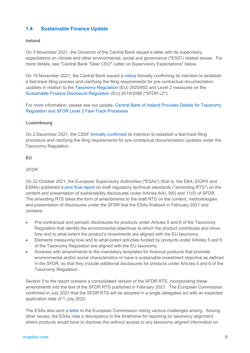# **1.4 Sustainable Finance Update**

#### **Ireland**

On 3 November 2021, the Governor of the Central Bank issued a letter with its supervisory expectations on climate and other environmental, social and governance ("ESG") related issues. For more details, see "Central Bank "Dear CEO" Letter on Supervisory Expectations" below.

On 15 November 2021, the Central Bank issued a [notice](https://www.centralbank.ie/docs/default-source/regulation/industry-market-sectors/funds/industry-communications/taxonomy-regulation-sfdr-clarification-document.pdf?sfvrsn=4) formally confirming its intention to establish a fast-track filing process and clarifying the filing requirements for pre-contractual documentation updates in relation to the [Taxonomy Regulation](https://eur-lex.europa.eu/legal-content/EN/ALL/?uri=CELEX%3A32020R0852) (EU) 2020/852 and Level 2 measures on the [Sustainable Finance Disclosure Regulation](https://eur-lex.europa.eu/eli/reg/2019/2088/oj) (EU) 2019/2088 ("SFDR L2").

For more information, please see our update, [Central Bank of Ireland Provides Details for Taxonomy](https://maples.com/en/knowledge-centre/2021/11/cbi-confirms-details-for-taxonomy-regulation-and-sfdr-level-2-fast-track-processes)  [Regulation and SFDR Level 2 Fast-Track Processes](https://maples.com/en/knowledge-centre/2021/11/cbi-confirms-details-for-taxonomy-regulation-and-sfdr-level-2-fast-track-processes)

#### **Luxembourg**

On 2 December 2021, the CSSF [formally confirmed](https://www.cssf.lu/en/2021/12/communication-on-regulatory-requirements-and-fast-track-procedure-in-relation-to-regulation-eu-2020-852-on-the-establishment-of-a-framework-to-facilitate-sustainable-investments-and-regulation-2019/) its intention to establish a fast-track filing procedure and clarifying the filing requirements for pre-contractual documentation updates under the Taxonomy Regulation.

#### **EU**

#### *SFDR*

On 22 October 2021, the European Supervisory Authorities ("ESAs") (that is, the EBA, EIOPA and ESMA) published a [joint final report](https://www.esma.europa.eu/sites/default/files/library/jc_2021_50_-_final_report_on_taxonomy-related_product_disclosure_rts.pdf) on draft regulatory technical standards ("amending RTS") on the content and presentation of sustainability disclosures under Articles 8(4), 9(6) and 11(5) of SFDR. The amending RTS takes the form of amendments to the draft RTS on the content, methodologies and presentation of disclosures under the SFDR that the ESAs finalised in February 2021 and contains:

- Pre-contractual and periodic disclosures for products under Articles 5 and 6 of the Taxonomy Regulation that identify the environmental objectives to which the product contributes and show how and to what extent the product's investments are aligned with the EU taxonomy.
- Elements measuring how and to what extent activities funded by products under Articles 5 and 6 of the Taxonomy Regulation are aligned with the EU taxonomy.
- Annexes with amendments to the mandatory templates for financial products that promote environmental and/or social characteristics or have a sustainable investment objective as defined in the SFDR, so that they include additional disclosures for products under Articles 5 and 6 of the Taxonomy Regulation.

Section 5 to the report contains a consolidated version of the SFDR RTS, incorporating these amendments into the text of the SFDR RTS published in February 2021. The European Commission confirmed in July 2021 that the SFDR RTS will be adopted in a single delegated act with an expected application date of 1 July 2022.

The ESAs also sent a [letter](https://www.eiopa.europa.eu/document-library/letter/letter-european-commission-esas-application-of-regulation-eu-20192088_en) to the European Commission noting various challenges arising. Among other issues, the ESAs note a discrepancy in the timeframe for reporting on taxonomy alignment where products would have to disclose this without access to any taxonomy-aligned information on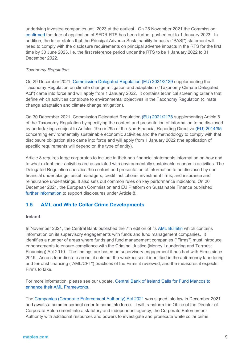underlying investee companies until 2023 at the earliest. On 25 November 2021 the Commission [confirmed](https://www.etfstream.com/news/european-union-delays-sfdr-level-2-until-january-2023/) the date of application of SFDR RTS has been further pushed out to 1 January 2023. In addition, the letter states that the Principal Adverse Sustainability Impacts ("PASI") statement will need to comply with the disclosure requirements on principal adverse impacts in the RTS for the first time by 30 June 2023, i.e. the first reference period under the RTS to be 1 January 2022 to 31 December 2022.

#### *Taxonomy Regulation*

On 29 December 2021, [Commission Delegated Regulation \(EU\) 2021/2139](https://eur-lex.europa.eu/legal-content/EN/TXT/PDF/?uri=CELEX:32021R2139&from=EN) supplementing the Taxonomy Regulation on climate change mitigation and adaptation ("Taxonomy Climate Delegated Act") came into force and will apply from 1 January 2022. It contains technical screening criteria that define which activities contribute to environmental objectives in the Taxonomy Regulation (climate change adaptation and climate change mitigation).

On 30 December 2021, Commission Delegated Regulation [\(EU\) 2021/2178](https://eur-lex.europa.eu/legal-content/EN/TXT/?uri=uriserv:OJ.L_.2021.443.01.0009.01.ENG&toc=OJ:L:2021:443:TOC) supplementing Article 8 of the Taxonomy Regulation by specifying the content and presentation of information to be disclosed by undertakings subject to Articles 19a or 29a of the Non-Financial Reporting Directive [\(EU\) 2014/95](https://eur-lex.europa.eu/legal-content/EN/TXT/?uri=CELEX%3A32014L0095) concerning environmentally sustainable economic activities and the methodology to comply with that disclosure obligation also came into force and will apply from 1 January 2022 (the application of specific requirements will depend on the type of entity).

Article 8 requires large corporates to include in their non-financial statements information on how and to what extent their activities are associated with environmentally sustainable economic activities. The Delegated Regulation specifies the content and presentation of information to be disclosed by nonfinancial undertakings, asset managers, credit institutions, investment firms, and insurance and reinsurance undertakings. It also sets out common rules on key performance indicators. On 20 December 2021, the European Commission and EU Platform on Sustainable Finance published [further information](https://ec.europa.eu/info/sites/default/files/business_economy_euro/banking_and_finance/documents/sustainable-finance-taxonomy-article-8-report-eligible-activities-assets-faq_en.pdf) to support disclosures under Article 8.

# **1.5 AML and White Collar Crime Developments**

#### **Ireland**

In November 2021, the Central Bank published the 7th edition of its [AML Bulletin](https://www.centralbank.ie/docs/default-source/Regulation/how-we-regulate/anti-money-laundering-and-countering-the-financing-of-terrorism/legislation/anti-money-laundering-bulletin-on-funds-and-fund-management-companies---november-2021.pdf) which contains information on its supervisory engagements with funds and fund management companies. It identifies a number of areas where funds and fund management companies ("Firms") must introduce enhancements to ensure compliance with the Criminal Justice (Money Laundering and Terrorist Financing) Act 2010. The findings are based on supervisory engagement it has had with Firms since 2019. Across four discrete areas, it sets out the weaknesses it identified in the anti-money laundering and terrorist financing ("AML/CFT") practices of the Firms it reviewed; and the measures it expects Firms to take.

For more information, please see our update, [Central Bank of Ireland Calls for Fund Mancos to](https://maples.com/en/knowledge-centre/2021/11/central-bank-calls-for-fund-mancos-to-enhance-their-aml-frameworks)  [enhance their AML Frameworks.](https://maples.com/en/knowledge-centre/2021/11/central-bank-calls-for-fund-mancos-to-enhance-their-aml-frameworks)

The [Companies \(Corporate Enforcement Authority\)](https://www.oireachtas.ie/en/bills/bill/2021/107/) Act 2021 was signed into law in December 2021 and awaits a commencement order to come into force. It will transform the Office of the Director of Corporate Enforcement into a statutory and independent agency, the Corporate Enforcement Authority with additional resources and powers to investigate and prosecute white collar crime.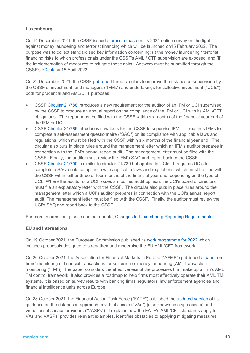#### **Luxembourg**

On 14 December 2021, the CSSF issued a [press release](https://www.cssf.lu/en/2021/12/2021-survey-related-to-the-fight-against-money-laundering-and-terrorism-financing/?utm_campaign=email-211214-13036) on its 2021 online survey on the fight against money laundering and terrorist financing which will be launched on15 February 2022. The purpose was to collect standardised key information concerning: (i) the money laundering / terrorist financing risks to which professionals under the CSSF's AML / CTF supervision are exposed; and (ii) the implementation of measures to mitigate these risks. Answers must be submitted through the CSSF's [eDesk](https://edesk.apps.cssf.lu/edesk-dashboard/dashboard/getstarted) by 15 April 2022.

On 22 December 2021, the CSSF [published](https://www.cssf.lu/en/2021/12/publication-of-circulars-cssf-21-788-21-789-and-21-790-concerning-ifms-and-ucis/) three circulars to improve the risk-based supervision by the CSSF of investment fund managers ("IFMs") and undertakings for collective investment ("UCIs"), both for prudential and AML/CFT purposes:

- CSSF [Circular 21/788](https://www.cssf.lu/en/Document/circular-cssf-21-788/) introduces a new requirement for the auditor of an IFM or UCI supervised by the CSSF to produce an annual report on the compliance of the IFM or UCI with its AML/CFT obligations. The report must be filed with the CSSF within six months of the financial year end of the IFM or UCI.
- CSSF [Circular 21/789](https://www.cssf.lu/en/Document/circular-cssf-21-789/) introduces new tools for the CSSF to supervise IFMs. It requires IFMs to complete a self-assessment questionnaire ("SAQ") on its compliance with applicable laws and regulations, which must be filed with the CSSF within six months of the financial year end. The circular also puts in place rules around the management letter which an IFM's auditor prepares in connection with the IFM's annual report audit. The management letter must be filed with the CSSF. Finally, the auditor must review the IFM's SAQ and report back to the CSSF.
- CSSF [Circular 21/790](https://www.cssf.lu/en/Document/circular-cssf-21-790/) is similar to circular 21/789 but applies to UCIs. It requires UCIs to complete a SAQ on its compliance with applicable laws and regulations, which must be filed with the CSSF within either three or four months of the financial year end, depending on the type of UCI. Where the auditor of a UCI issues a modified audit opinion, the UCI's board of directors must file an explanatory letter with the CSSF. The circular also puts in place rules around the management letter which a UCI's auditor prepares in connection with the UCI's annual report audit. The management letter must be filed with the CSSF. Finally, the auditor must review the UCI's SAQ and report back to the CSSF.

For more information, please see our update, [Changes to Luxembourg Reporting Requirements.](https://maples.com/en/knowledge-centre/2022/1/changes-to-luxembourg-reporting-requirements)

#### **EU and International**

On 19 October 2021, the European Commission published its [work programme for 2022](https://ec.europa.eu/info/sites/default/files/com2021_645_en.pdf) which includes proposals designed to strengthen and modernise the EU AML/CFT framework.

On 20 October 2021, the Association for Financial Markets in Europe ("AFME") published a [paper](https://graces.community/wp-content/uploads/2021/10/AFME_TransactionMonitoring2021-2.pdf) on firms' monitoring of financial transactions for suspicion of money laundering (AML transaction monitoring ("TM")). The paper considers the effectiveness of the processes that make up a firm's AML TM control framework. It also provides a roadmap to help firms most effectively operate their AML TM systems. It is based on survey results with banking firms, regulators, law enforcement agencies and financial intelligence units across Europe.

On 28 October 2021, the Financial Action Task Force ("FATF") published the [updated version](https://data.consilium.europa.eu/doc/document/PE-54-2021-INIT/en/pdf) of its guidance on the risk-based approach to virtual assets ("VAs") (also known as cryptoassets) and virtual asset service providers ("VASPs"). It explains how the FATF's AML/CFT standards apply to VAs and VASPs, provides relevant examples, identifies obstacles to applying mitigating measures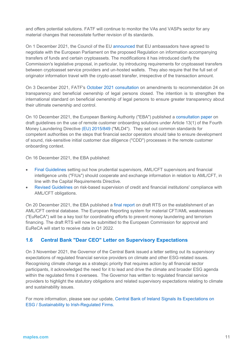and offers potential solutions. FATF will continue to monitor the VAs and VASPs sector for any material changes that necessitate further revision of its standards.

On 1 December 2021, the Council of the EU [announced](https://www.consilium.europa.eu/en/press/press-releases/2021/12/01/anti-money-laundering-council-agrees-its-negotiating-mandate-on-transparency-of-crypto-asset-transfers/) that EU ambassadors have agreed to negotiate with the European Parliament on the proposed Regulation on information accompanying transfers of funds and certain cryptoassets. The modifications it has introduced clarify the Commission's legislative proposal, in particular, by introducing requirements for cryptoasset transfers between cryptoasset service providers and un-hosted wallets. They also require that the full set of originator information travel with the crypto-asset transfer, irrespective of the transaction amount.

On 3 December 2021, FATF's [October 2021 consultation](http://www.fatf-gafi.org/media/fatf/documents/recommendations/pdfs/Pdf-file_R24-Beneficial-Ownership-Public-Consultation.pdf) on amendments to recommendation 24 on transparency and beneficial ownership of legal persons closed. The intention is to strengthen the international standard on beneficial ownership of legal persons to ensure greater transparency about their ultimate ownership and control.

On 10 December 2021, the European Banking Authority ("EBA") published a [consultation paper](https://www.eba.europa.eu/sites/default/documents/files/document_library/Publications/Consultations/2022/Consultation%20on%20draft%20Guidelines%20on%20the%20use%20of%20remote%20customer%20onboarding%20solutions/1025218/CP%20on%20draft%20GLs%20on%20remote%20customer%20onboarding.pdf) on draft guidelines on the use of remote customer onboarding solutions under Article 13(1) of the Fourth Money Laundering Directive [\(EU\) 2015/849](https://eur-lex.europa.eu/legal-content/EN/TXT/?uri=CELEX%3A32015L2366&qid=1641379836310) ("MLD4"). They set out common standards for competent authorities on the steps that financial sector operators should take to ensure development of sound, risk-sensitive initial customer due diligence ("CDD") processes in the remote customer onboarding context.

On 16 December 2021, the EBA published:

- [Final Guidelines](https://www.eba.europa.eu/eba-issues-final-guidelines-cooperation-and-information-exchange-between-prudential-supervisors) setting out how prudential supervisors, AML/CFT supervisors and financial intelligence units ("FIUs") should cooperate and exchange information in relation to AML/CFT, in line with the Capital Requirements Directive.
- [Revised Guidelines](https://www.eba.europa.eu/eba-strengthens-amlcft-supervision-eu-through-revised-guidelines-and-enhanced-cooperation) on risk-based supervision of credit and financial institutions' compliance with AML/CFT obligations.

On 20 December 2021, the EBA published a [final report](https://www.eba.europa.eu/sites/default/documents/files/document_library/Publications/Draft%20Technical%20Standards/2021/1025576/RTS%20on%20AML%20CFT%20central%20data%20base.pdf) on draft RTS on the establishment of an AML/CFT central database. The European Reporting system for material CFT/AML weaknesses ("EuReCA") will be a key tool for coordinating efforts to prevent money laundering and terrorism financing. The draft RTS will now be submitted to the European Commission for approval and EuReCA will start to receive data in Q1 2022.

# **1.6 Central Bank "Dear CEO" Letter on Supervisory Expectations**

On 3 November 2021, the Governor of the Central Bank issued a letter setting out its supervisory expectations of regulated financial service providers on climate and other ESG-related issues. Recognising climate change as a strategic priority that requires action by all financial sector participants, it acknowledged the need for it to lead and drive the climate and broader ESG agenda within the regulated firms it oversees. The Governor has written to regulated financial service providers to highlight the statutory obligations and related supervisory expectations relating to climate and sustainability issues.

For more information, please see our update, [Central Bank of Ireland Signals its Expectations on](https://maples.com/en/knowledge-centre/2021/11/cbi-signals-its-expectations-on-esg)  [ESG / Sustainability to Irish-Regulated Firms.](https://maples.com/en/knowledge-centre/2021/11/cbi-signals-its-expectations-on-esg)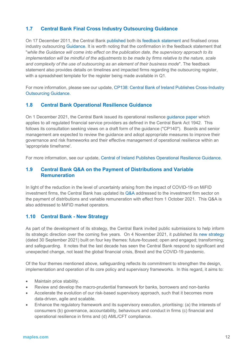# **1.7 Central Bank Final Cross Industry Outsourcing Guidance**

On 17 December 2011, the Central Bank [published](https://3257c520b9b442bab9c740f92d309a26.svc.dynamics.com/t/t/mEkxZ5FtPguV017uffVBKUUNTjv9NiZ3ixQSJuV3ukEx/nBc1ThpwRwH1kGL1dSL0zgI9iBNszcxecbDcgxQEJsgx) both its [feedback statement](https://3257c520b9b442bab9c740f92d309a26.svc.dynamics.com/t/t/aPugRdvwGrfvewRxJVMRKAGcK1wtslSwgJzWi5aIfwgx/nBc1ThpwRwH1kGL1dSL0zgI9iBNszcxecbDcgxQEJsgx) and finalised cross industry outsourcing [Guidance.](https://3257c520b9b442bab9c740f92d309a26.svc.dynamics.com/t/t/DbCxqI6iZ5VkeQFWFmBapsOTD0tEcgqMuzb4e10KxJAx/nBc1ThpwRwH1kGL1dSL0zgI9iBNszcxecbDcgxQEJsgx) It is worth noting that the confirmation in the feedback statement that "*while the Guidance will come into effect on the publication date, the supervisory approach to its implementation will be mindful of the adjustments to be made by firms relative to the nature, scale and complexity of the use of outsourcing as an element of their business mode*". The feedback statement also provides details on timelines and impacted firms regarding the outsourcing register, with a spreadsheet template for the register being made available in Q1.

For more information, please see our update, [CP138: Central Bank of Ireland Publishes Cross-Industry](https://maples.com/en/knowledge-centre/2021/12/central-bank-of-ireland-publishes-cross-industry-outsourcing-guidance)  [Outsourcing Guidance.](https://maples.com/en/knowledge-centre/2021/12/central-bank-of-ireland-publishes-cross-industry-outsourcing-guidance)

# **1.8 Central Bank Operational Resilience Guidance**

On 1 December 2021, the Central Bank issued its operational resilience [guidance paper](https://www.centralbank.ie/docs/default-source/publications/consultation-papers/cp140/cross-industry-guidance-on-operational-resilience.pdf) which applies to all regulated financial service providers as defined in the Central Bank Act 1942. This follows its consultation seeking views on a draft form of the guidance ("CP140"). Boards and senior management are expected to review the guidance and adopt appropriate measures to improve their governance and risk frameworks and their effective management of operational resilience within an 'appropriate timeframe'.

For more information, see our update, [Central of Ireland Publishes Operational Resilience Guidance.](https://maples.com/en/knowledge-centre/2021/12/central-bank-of-ireland-publishes-operational-resilience-guidance#:%7E:text=Central%20Bank%20of%20Ireland%20Publishes%20Operational%20Resilience%20Guidance,-01%20Dec%202021&text=On%201%20December%202021%2C%20the,guidance%20(%22CP140%22).)

# **1.9 Central Bank Q&A on the Payment of Distributions and Variable Remuneration**

In light of the reduction in the level of uncertainty arising from the impact of COVID-19 on MiFID investment firms, the Central Bank has updated its [Q&A](https://www.centralbank.ie/consumer-hub/covid-19/faq-for-regulated-firms) addressed to the investment firm sector on the payment of distributions and variable remuneration with effect from 1 October 2021. This Q&A is also addressed to MiFID market operators.

# **1.10 Central Bank - New Strategy**

As part of the development of its strategy, the Central Bank invited public submissions to help inform its strategic direction over the coming five years. On 4 November 2021, it published its [new strategy](https://www.centralbank.ie/docs/default-source/publications/corporate-reports/strategic-plan/our-strategy/central-bank-of-ireland-our-strategy.pdf?sfvrsn=4) (dated 30 September 2021) built on four key themes: future-focused; open and engaged; transforming; and safeguarding. It notes that the last decade has seen the Central Bank respond to significant and unexpected change, not least the global financial crisis, Brexit and the COVID-19 pandemic.

Of the four themes mentioned above, safeguarding reflects its commitment to strengthen the design, implementation and operation of its core policy and supervisory frameworks. In this regard, it aims to:

- Maintain price stability.
- Review and develop the macro-prudential framework for banks, borrowers and non-banks
- Accelerate the evolution of our risk-based supervisory approach, such that it becomes more data-driven, agile and scalable.
- Enhance the regulatory framework and its supervisory execution, prioritising: (a) the interests of consumers (b) governance, accountability, behaviours and conduct in firms (c) financial and operational resilience in firms and (d) AML/CFT compliance.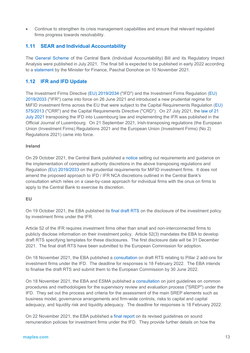• Continue to strengthen its crisis management capabilities and ensure that relevant regulated firms progress towards resolvability.

# **1.11 SEAR and Individual Accountability**

The [General Scheme](https://3257c520b9b442bab9c740f92d309a26.svc.dynamics.com/t/t/YnSae8NdhFnx6JlLUKtUXT7qSmAs5vNcZqp4qDFZxmAx/dB8sLxxzYxa0mg1YKITSQPKvtqJjr3VaulaxMrhItrEx) of the Central Bank (Individual Accountability) Bill and its Regulatory Impact Analysis were published in July 2021. The final bill is expected to be published in early 2022 according to a [statement](https://www.gov.ie/en/speech/b0951-opening-statement-of-the-minister-for-finance-paschal-donohoe-td-to-the-committee-on-finance-public-expenditure-and-reform-and-taoiseach/) by the Minister for Finance, Paschal Donohoe on 10 November 2021.

# **1.12 IFR and IFD Update**

The Investment Firms Directive [\(EU\) 2019/2034](https://eur-lex.europa.eu/legal-content/EN/TXT/?uri=CELEX%3A32019L2034&qid=1610041098545) ("IFD") and the Investment Firms Regulation [\(EU\)](https://eur-lex.europa.eu/legal-content/EN/TXT/?uri=CELEX%3A32019R2033&qid=1610041074672)  [2019/2033](https://eur-lex.europa.eu/legal-content/EN/TXT/?uri=CELEX%3A32019R2033&qid=1610041074672) ("IFR") came into force on 26 June 2021 and introduced a new prudential regime for MiFID investment firms across the EU that were subject to the Capital Requirements Regulation [\(EU\)](https://eur-lex.europa.eu/legal-content/EN/TXT/?uri=celex%3A32013R0575)  [575/2013](https://eur-lex.europa.eu/legal-content/EN/TXT/?uri=celex%3A32013R0575) ("CRR") and the Capital Requirements Directive ("CRD"). On 27 July 2021, the [law of 21](https://data.legilux.public.lu/file/eli-etat-leg-loi-2021-07-21-a566-jo-fr-pdf.pdf)  [July 2021](https://data.legilux.public.lu/file/eli-etat-leg-loi-2021-07-21-a566-jo-fr-pdf.pdf) transposing the IFD into Luxembourg law and implementing the IFR was published in the Official Journal of Luxembourg. On 21 September 2021, Irish-transposing regulations (the European Union (Investment Firms) Regulations 2021 and the European Union (Investment Firms) (No 2) Regulations 2021) came into force.

#### **Ireland**

On 29 October 2021, the Central Bank published a [notice](https://www.centralbank.ie/regulation/markets-update/article/markets-update-issue-14-2021/central-bank-of-ireland/central-bank-publishes-a-notice-on-the-implementation-of-competent-authority-discretions-in-s.i.-no.-355-of-2021-and-regulation-(eu)-2019-2033-on-the-prudential-requirements-for-mifid-investment-firms) setting out requirements and guidance on the implementation of competent authority discretions in the above transposing regulations and Regulation [\(EU\) 2019/2033](https://eur-lex.europa.eu/legal-content/EN/TXT/?uri=CELEX%3A32019R2033&qid=1641396615400) on the prudential requirements for MiFID investment firms. It does not amend the proposed approach to IFD / IFR NCA discretions outlined in the Central Bank's consultation which relies on a case-by-case approach for individual firms with the onus on firms to apply to the Central Bank to exercise its discretion.

#### **EU**

On 19 October 2021, the EBA published its [final draft RTS](https://www.eba.europa.eu/eba-publishes-final-draft-regulatory-technical-standards-disclosure-investment-policy-investment) on the disclosure of the investment policy by investment firms under the IFR.

Article 52 of the IFR requires investment firms other than small and non-interconnected firms to publicly disclose information on their investment policy. Article 52(3) mandates the EBA to develop draft RTS specifying templates for these disclosures. The first disclosure date will be 31 December 2021. The final draft RTS have been submitted to the European Commission for adoption.

On 18 November 2021, the EBA published a [consultation](https://www.eba.europa.eu/sites/default/documents/files/document_library/Publications/Consultations/2022/Consultation%20on%20draft%20RTS%20on%20Pillar%202%20add-ons%20for%20investment%20firms/1024396/CP%20on%20RTS%20on%20Pillar%202%20add-ons%20under%20IFD.pdf) on draft RTS relating to Pillar 2 add-ons for investment firms under the IFD. The deadline for responses is 18 February 2022. The EBA intends to finalise the draft RTS and submit them to the European Commission by 30 June 2022.

On 18 November 2021, the EBA and ESMA published a [consultation](https://www.eba.europa.eu/sites/default/documents/files/document_library/Publications/Consultations/2022/Consultation%20on%20Guidelines%20on%20common%20procedures%20and%20methodologies%20for%20the%20supervisory%20review%20and%20evaluation%20process%20%28SREP%29/1024395/CP%20on%20SREP%20Guidelines%20under%20IFD.pdf) on joint guidelines on common procedures and methodologies for the supervisory review and evaluation process ("SREP") under the IFD. They set out the process and criteria for the assessment of the main SREP elements such as business model, governance arrangements and firm-wide controls, risks to capital and capital adequacy, and liquidity risk and liquidity adequacy. The deadline for responses is 18 February 2022.

On 22 November 2021, the EBA published a [final report](https://www.eba.europa.eu/sites/default/documents/files/document_library/Publications/Guidelines/2021/EBA-GL-2021-13%20Guidelines%20on%20remuneration%20under%20IFD/1024533/Final%20Report%20on%20GL%20on%20sound%20remuneration%20policies%20under%20IFD.pdf) on its revised guidelines on sound remuneration policies for investment firms under the IFD. They provide further details on how the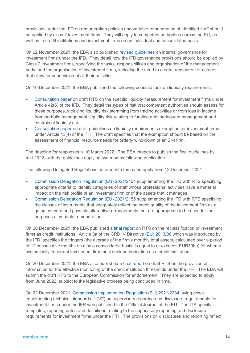provisions under the IFD on remuneration policies and variable remuneration of identified staff should be applied by class 2 investment firms. They will apply to competent authorities across the EU, as well as to credit institutions and investment firms on an individual and consolidated basis.

On 22 November 2021, the EBA also published [revised guidelines](https://www.eba.europa.eu/eba-publishes-its-final-revised-guidelines-internal-governance-investment-firms-under-investment) on internal governance for investment firms under the IFD. They detail how the IFD governance provisions should be applied by Class 2 investment firms, specifying the tasks, responsibilities and organisation of the management body, and the organisation of investment firms, including the need to create transparent structures that allow for supervision of all their activities.

On 10 December 2021, the EBA published the following consultations on liquidity requirements:

- [Consultation paper](https://www.eba.europa.eu/sites/default/documents/files/document_library/Publications/Consultations/2022/Consultation%20%20on%20draft%20RTS%20on%20the%20specific%20liquidity%20measurement%20for%20investment%20firms/1025304/CP%20on%20draft%20RTS%20on%20specific%20liquidity%20risk%20measurement.pdf) on draft RTS on the specific liquidity measurement for investment firms under Article 42(6) of the IFD. They detail the types of risk that competent authorities should assess for these purposes, including liquidity risk stemming from trading activities or from loss in income from portfolio management, liquidity risk relating to funding and inadequate management and controls of liquidity risk.
- [Consultation paper](https://www.eba.europa.eu/sites/default/documents/files/document_library/Publications/Consultations/2022/Consultation%20paper%20on%20draft%20Guidelines%20on%20liquidity%20requirements%20exemption%20for%20investment%20firms/1025305/CP%20o%20draft%20Guidelines%20on%20liquidity%20requirements%20exemption%20for%20investment%20firms.pdf) on draft guidelines on liquidity requirements exemption for investment firms under Article 43(4) of the IFR. The draft specifies that the exemption should be based on the assessment of financial resource needs for orderly wind-down of an SNI firm.

The deadline for responses is 10 March 2022. The EBA intends to publish the final guidelines by mid-2022, with the guidelines applying two months following publication.

The following Delegated Regulations entered into force and apply from 12 December 2021:

- [Commission Delegation Regulation \(EU\) 2021/2154](https://eur-lex.europa.eu/legal-content/EN/TXT/PDF/?uri=CELEX:32021R2154&from=EN) supplementing the IFD with RTS specifying appropriate criteria to identify categories of staff whose professional activities have a material impact on the risk profile of an investment firm or of the assets that it manages.
- [Commission Delegation Regulation \(EU\) 2021/2155](https://eur-lex.europa.eu/legal-content/EN/TXT/PDF/?uri=CELEX:32021R2155&from=EN) supplementing the IFD with RTS specifying the classes of instruments that adequately reflect the credit quality of the investment firm as a going concern and possible alternative arrangements that are appropriate to be used for the purposes of variable remuneration.

On 20 December 2021, the EBA published a [final report](https://www.eba.europa.eu/sites/default/documents/files/document_library/Publications/Draft%20Technical%20Standards/2021/RTS%20on%20threshold%20methodology%20and%20monitoring/1025587/Final%20report%20on%20draft%20RTS%20on%20EUR%2030bn%20threshold%20methodology.pdf) on RTS on the reclassification of investment firms as credit institutions. Article 8a of the CRD IV Directive [\(EU\) 2013/36](https://eur-lex.europa.eu/legal-content/EN/TXT/?uri=CELEX%3A32013L0036&qid=1641397326192) which was introduced by the IFD, specifies the triggers (the average of the firm's monthly total assets, calculated over a period of 12 consecutive months on a solo consolidated basis, is equal to or exceeds EUR30bn) for when a systemically important investment firm must seek authorisation as a credit institution.

On 20 December 2021, the EBA also published a [final report](https://www.eba.europa.eu/sites/default/documents/files/document_library/Publications/Draft%20Technical%20Standards/2021/RTS%20on%20threshold%20methodology%20and%20monitoring/1025589/Final%20Report%20on%20the%20RTS%20on%20threshold%20monitoring.pdf) on draft RTS on the provision of information for the effective monitoring of the credit institution thresholds under the IFR. The EBA will submit the draft RTS to the European Commission for endorsement. They are expected to apply from June 2022, subject to the legislative process being concluded in time.

On 22 December 2021, [Commission Implementing Regulation \(EU\) 2021/2284](https://eur-lex.europa.eu/legal-content/EN/TXT/PDF/?uri=CELEX:32021R2284&from=EN) laying down implementing technical standards ("ITS") on supervisory reporting and disclosure requirements for investment firms under the IFR was published in the Official Journal of the EU*.* The ITS specify templates, reporting dates and definitions relating to the supervisory reporting and disclosure requirements for investment firms under the IFR. The provisions on disclosures and reporting reflect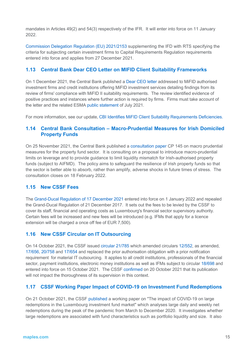mandates in Articles 49(2) and 54(3) respectively of the IFR. It will enter into force on 11 January 2022.

[Commission Delegation Regulation \(EU\) 2021/2153](https://eur-lex.europa.eu/legal-content/EN/TXT/PDF/?uri=CELEX:32021R2153&from=EN) supplementing the IFD with RTS specifying the criteria for subjecting certain investment firms to Capital Requirements Regulation requirements entered into force and applies from 27 December 2021.

# **1.13 Central Bank Dear CEO Letter on MIFID Client Suitability Frameworks**

On 1 December 2021, the Central Bank published a [Dear CEO letter](https://www.centralbank.ie/docs/default-source/regulation/consumer-protection/compliance-monitoring/themed-inspections/common-supervisory-action-mifid-ii-suitability-requirements.pdf) addressed to MiFID authorised investment firms and credit institutions offering MiFID investment services detailing findings from its review of firms' compliance with MiFID II suitability requirements. The review identified evidence of positive practices and instances where further action is required by firms. Firms must take account of the letter and the related ESMA [public statement](https://www.esma.europa.eu/sites/default/files/library/esma35-43-2748_public_statement_on_2020_csa_on_suitability.pdf) of July 2021.

For more information, see our update, [CBI Identifies MiFID Client Suitability Requirements Deficiencies.](https://maples.com/en/knowledge-centre/2021/12/cbi-identifies-mifid-client-suitability-requirements-deficiencies)

# **1.14 Central Bank Consultation – Macro-Prudential Measures for Irish Domiciled Property Funds**

On 25 November 2021, the Central Bank published a [consultation paper](https://www.centralbank.ie/docs/default-source/publications/consultation-papers/cp145/cp145-macroprudential-measures-for-the-property-fund-sector.pdf?sfvrsn=5) CP 145 on macro prudential measures for the property fund sector. It is consulting on a proposal to introduce macro-prudential limits on leverage and to provide guidance to limit liquidity mismatch for Irish-authorised property funds (subject to AIFMD). The policy aims to safeguard the resilience of Irish property funds so that the sector is better able to absorb, rather than amplify, adverse shocks in future times of stress. The consultation closes on 18 February 2022.

# **1.15 New CSSF Fees**

The [Grand-Ducal Regulation of 17 December 2021](https://data.legilux.public.lu/file/eli-etat-leg-rgd-2021-12-17-a919-jo-fr-pdf.pdf?utm_campaign=email-211222-45998) entered into force on 1 January 2022 and repealed the Grand-Ducal Regulation of 21 December 2017. It sets out the fees to be levied by the CSSF to cover its staff, financial and operating costs as Luxembourg's financial sector supervisory authority. Certain fees will be increased and new fees will be introduced (e.g. IFMs that apply for a licence extension will be charged a once off fee of EUR 7,500).

# **1.16 New CSSF Circular on IT Outsourcing**

On 14 October 2021, the CSSF issued [circular 21/785](https://www.cssf.lu/wp-content/uploads/cssf21_785_eng.pdf) which amended circulars [12/552,](https://www.cssf.lu/wp-content/uploads/cssf12_552eng.pdf) as amended, [17/656,](https://www.cssf.lu/en/Document/circular-cssf-17-656/) [20/758](https://www.cssf.lu/wp-content/uploads/cssf20_758eng.pdf) and [17/654](https://www.cssf.lu/wp-content/uploads/cssf17_654eng.pdf) and replaced the prior authorisation obligation with a prior notification requirement for material IT outsourcing. It applies to all credit institutions, professionals of the financial sector, payment institutions, electronic money institutions as well as IFMs subject to circular [18/698](https://www.cssf.lu/wp-content/uploads/cssf18_698eng.pdf) and entered into force on 15 October 2021. The CSSF [confirmed](https://www.cssf.lu/en/2021/10/publication-of-a-new-cssf-circular-on-the-obligation-to-notify-in-the-case-of-it-outsourcing/?utm_campaign=email-211020-e6e28) on 20 October 2021 that its publication will not impact the thoroughness of its supervision in this context.

# **1.17 CSSF Working Paper Impact of COVID-19 on Investment Fund Redemptions**

On 21 October 2021, the CSSF [published](https://www.cssf.lu/en/2021/10/publication-of-cssf-working-paper-the-impact-of-covid-19-on-large-redemptions-in-the-luxembourg-investment-fund-market/?utm_campaign=email-211021-a29d7) a working paper on "The impact of COVID-19 on large redemptions in the Luxembourg investment fund market" which analyses large daily and weekly net redemptions during the peak of the pandemic from March to December 2020. It investigates whether large redemptions are associated with fund characteristics such as portfolio liquidity and size. It also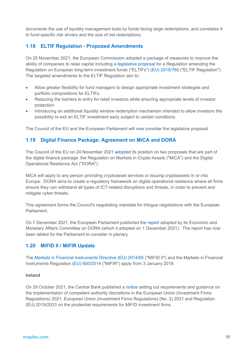documents the use of liquidity management tools by funds facing large redemptions, and correlates it to fund-specific risk drivers and the size of net redemptions.

# **1.18 ELTIF Regulation - Proposed Amendments**

On 25 November 2021, the European Commission adopted a package of measures to improve the ability of companies to raise capital including a legislative proposal for a Regulation amending the Regulation on European long-term investment funds ("ELTIFs") [\(EU\) 2015/760](https://eur-lex.europa.eu/legal-content/EN/TXT/?uri=CELEX%3A32015R0760&qid=1641380239438) ("ELTIF Regulation"). The targeted amendments to the ELTIF Regulation aim to:

- Allow greater flexibility for fund managers to design appropriate investment strategies and portfolio compositions for ELTIFs.
- Reducing the barriers to entry for retail investors while ensuring appropriate levels of investor protection.
- Introducing an additional liquidity window redemption mechanism intended to allow investors the possibility to exit an ELTIF investment early subject to certain conditions.

The Council of the EU and the European Parliament will now consider the legislative proposal.

# **1.19 Digital Finance Package: Agreement on MiCA and DORA**

The Council of the EU on 24 November 2021 [adopted](https://www.consilium.europa.eu/en/press/press-releases/2021/11/24/digital-finance-package-council-reaches-agreement-on-mica-and-dora/) its position on two proposals that are part of the digital finance package: the Regulation on Markets in Crypto Assets ("MiCA") and the Digital Operational Resilience Act ("DORA").

MiCA will apply to any person providing cryptoasset services or issuing cryptoassets in or into Europe. DORA aims to create a regulatory framework on digital operational resilience where all firms ensure they can withstand all types of ICT-related disruptions and threats, in order to prevent and mitigate cyber threats.

This agreement forms the Council's negotiating mandate for trilogue negotiations with the European Parliament.

On 7 December 2021, the European Parliament published the [report](https://www.europarl.europa.eu/doceo/document/A-9-2021-0341_EN.pdf) adopted by its Economic and Monetary Affairs Committee on DORA (which it adopted on 1 December 2021). The report has now been tabled for the Parliament to consider in plenary.

#### **1.20 MiFID II / MiFIR Update**

The [Markets in Financial Instruments Directive \(EU\) 2014/65](http://eur-lex.europa.eu/legal-content/EN/TXT/?uri=celex%3A32014L0065) ("MiFID II") and the Markets in Financial Instruments Regulation [\(EU\) 600/2014](http://eur-lex.europa.eu/legal-content/EN/TXT/?uri=CELEX%3A32014R0600) ("MiFIR") apply from 3 January 2018.

#### **Ireland**

On 29 October 2021, the Central Bank published a [notice](https://www.centralbank.ie/regulation/markets-update/article/markets-update-issue-14-2021/central-bank-of-ireland/central-bank-publishes-a-notice-on-the-implementation-of-competent-authority-discretions-in-s.i.-no.-355-of-2021-and-regulation-(eu)-2019-2033-on-the-prudential-requirements-for-mifid-investment-firms) setting out requirements and guidance on the implementation of competent authority discretions in the European Union (Investment Firms Regulations) 2021, European Union (Investment Firms Regulations) (No. 2) 2021 and Regulation (EU) 2019/2033 on the prudential requirements for MiFID investment firms.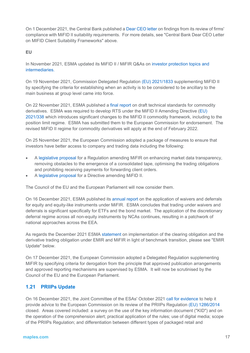On 1 December 2021, the Central Bank published [a Dear CEO letter](https://www.centralbank.ie/docs/default-source/regulation/consumer-protection/compliance-monitoring/themed-inspections/common-supervisory-action-mifid-ii-suitability-requirements.pdf) on findings from its review of firms' compliance with MiFID II suitability requirements. For more details, see "Central Bank Dear CEO Letter on MIFID Client Suitability Frameworks" above.

#### **EU**

In November 2021, ESMA updated its MiFID II / MiFIR Q&As on [investor protection topics and](https://www.esma.europa.eu/sites/default/files/library/esma35-43-349_mifid_ii_qas_on_investor_protection_topics.pdf)  [intermediaries.](https://www.esma.europa.eu/sites/default/files/library/esma35-43-349_mifid_ii_qas_on_investor_protection_topics.pdf)

On 19 November 2021, Commission Delegated Regulation [\(EU\) 2021/1833](https://eur-lex.europa.eu/legal-content/EN/TXT/?uri=uriserv:OJ.L_.2021.372.01.0001.01.ENG) supplementing MiFID II by specifying the criteria for establishing when an activity is to be considered to be ancillary to the main business at group level came into force.

On 22 November 2021, ESMA published a [final report](https://www.esma.europa.eu/sites/default/files/library/esma70-156-4710_final_report_technical_standards_for_commodity_derivatives.pdf) on draft technical standards for commodity derivatives. ESMA was required to develop RTS under the MiFID II Amending Directive [\(EU\)](https://eur-lex.europa.eu/legal-content/EN/TXT/?uri=CELEX%3A32021L0338&qid=1641397658764)  [2021/338](https://eur-lex.europa.eu/legal-content/EN/TXT/?uri=CELEX%3A32021L0338&qid=1641397658764) which introduces significant changes to the MiFID II commodity framework, including to the position limit regime. ESMA has submitted them to the European Commission for endorsement. The revised MiFID II regime for commodity derivatives will apply at the end of February 2022.

On 25 November 2021, the European Commission adopted a package of measures to ensure that investors have better access to company and trading data including the following:

- A [legislative proposal](https://ec.europa.eu/finance/docs/law/211125-proposal-consolidated-tape_en.pdf) for a Regulation amending MiFIR on enhancing market data transparency, removing obstacles to the emergence of a consolidated tape, optimising the trading obligations and prohibiting receiving payments for forwarding client orders.
- A [legislative proposal](https://ec.europa.eu/finance/docs/law/211125-proposal-mifir_en.pdf) for a Directive amending MiFID II.

The Council of the EU and the European Parliament will now consider them.

On 16 December 2021, ESMA published its [annual report](https://www.esma.europa.eu/sites/default/files/library/esma70-156-4474_annual_report_2021_waivers_and_deferrals.pdf) on the application of waivers and deferrals for equity and equity-like instruments under MiFIR. ESMA concludes that trading under waivers and deferrals is significant specifically for ETFs and the bond market. The application of the discretionary deferral regime across all non-equity instruments by NCAs continues, resulting in a patchwork of national approaches across the EEA.

As regards the December 2021 ESMA [statement](https://www.esma.europa.eu/sites/default/files/library/esma70-156-5151_statement_implementation_co_and_dto_in_view_of_the_benchmark_transition.pdf) on implementation of the clearing obligation and the derivative trading obligation under EMIR and MiFIR in light of benchmark transition, please see "EMIR Update" below.

On 17 December 2021, the European Commission adopted a Delegated Regulation supplementing MiFIR by specifying criteria for derogation from the principle that approved publication arrangements and approved reporting mechanisms are supervised by ESMA. It will now be scrutinised by the Council of the EU and the European Parliament.

# **1.21 PRIIPs Update**

On 16 December 2021, the Joint Committee of the ESAs' October 2021 [call for evidence](https://www.esma.europa.eu/press-news/consultations/joint-call-evidence-european-commission-mandate-regarding-priips-regulation) to help it provide advice to the European Commission on its review of the PRIIPs Regulation [\(EU\) 1286/2014](https://eur-lex.europa.eu/legal-content/EN/TXT/?uri=celex%3A32014R1286) closed. Areas covered included: a survey on the use of the key information document ("KID") and on the operation of the comprehension alert; practical application of the rules; use of digital media; scope of the PRIIPs Regulation; and differentiation between different types of packaged retail and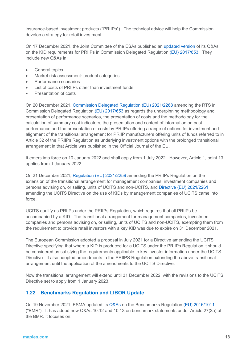insurance-based investment products ("PRIIPs"). The technical advice will help the Commission develop a strategy for retail investment.

On 17 December 2021, the Joint Committee of the ESAs published an [updated version](https://www.esma.europa.eu/sites/default/files/library/jc_2017_49_jc_priips_qa.pdf) of its Q&As on the KID requirements for PRIIPs in Commission Delegated Regulation [\(EU\) 2017/653.](https://eur-lex.europa.eu/legal-content/EN/TXT/?uri=CELEX%3A32017R0653) They include new Q&As in:

- General topics
- Market risk assessment: product categories
- Performance scenarios
- List of costs of PRIIPs other than investment funds
- Presentation of costs

On 20 December 2021, [Commission Delegated Regulation \(EU\) 2021/2268](https://eur-lex.europa.eu/legal-content/EN/TXT/?uri=uriserv%3AOJ.LI.2021.455.01.0001.01.ENG&toc=OJ%3AL%3A2021%3A455I%3ATOC) amending the RTS in Commission Delegated Regulation [\(EU\) 2017/653](https://eur-lex.europa.eu/search.html?scope=EURLEX&text=%28EU%29+2017%2F653&lang=en&type=quick&qid=1641392974943) as regards the underpinning methodology and presentation of performance scenarios, the presentation of costs and the methodology for the calculation of summary cost indicators, the presentation and content of information on past performance and the presentation of costs by PRIIPs offering a range of options for investment and alignment of the transitional arrangement for PRIIP manufacturers offering units of funds referred to in Article 32 of the PRIIPs Regulation as underlying investment options with the prolonged transitional arrangement in that Article was published in the Official Journal of the EU.

It enters into force on 10 January 2022 and shall apply from 1 July 2022. However, Article 1, point 13 applies from 1 January 2022.

On 21 December 2021, [Regulation \(EU\) 2021/2259](https://eur-lex.europa.eu/legal-content/EN/TXT/?uri=uriserv%3AOJ.L_.2021.455.01.0001.01.ENG&toc=OJ%3AL%3A2021%3A455%3ATOC) amending the PRIIPs Regulation on the extension of the transitional arrangement for management companies, investment companies and persons advising on, or selling, units of UCITS and non-UCITS, and [Directive \(EU\) 2021/2261](https://eur-lex.europa.eu/legal-content/EN/TXT/?uri=uriserv%3AOJ.L_.2021.455.01.0015.01.ENG&toc=OJ%3AL%3A2021%3A455%3ATOC) amending the UCITS Directive on the use of KIDs by management companies of UCITS came into force.

UCITS qualify as PRIIPs under the PRIIPs Regulation, which requires that all PRIIPs be accompanied by a KID. The transitional arrangement for management companies, investment companies and persons advising on, or selling, units of UCITS and non-UCITS, exempting them from the requirement to provide retail investors with a key KID was due to expire on 31 December 2021.

The European Commission adopted a proposal in July 2021 for a Directive amending the UCITS Directive specifying that where a KID is produced for a UCITS under the PRIIPs Regulation it should be considered as satisfying the requirements applicable to key investor information under the UCITS Directive. It also adopted amendments to the PRIIPS Regulation extending the above transitional arrangement until the application of the amendments to the UCITS Directive.

Now the transitional arrangement will extend until 31 December 2022, with the revisions to the UCITS Directive set to apply from 1 January 2023.

# **1.22 Benchmarks Regulation and LIBOR Update**

On 19 November 2021, ESMA updated its [Q&As](https://www.esma.europa.eu/press-news/esma-news/new-qas-available-1) on the Benchmarks Regulation [\(EU\) 2016/1011](https://eur-lex.europa.eu/legal-content/EN/TXT/?uri=CELEX%3A32016R1011) ("BMR"). It has added new Q&As 10.12 and 10.13 on benchmark statements under Article 27(2a) of the BMR. It focuses on: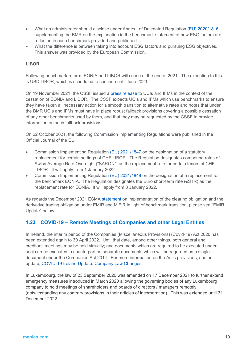- What an administrator should disclose under Annex I of Delegated Regulation [\(EU\) 2020/1816](https://eur-lex.europa.eu/legal-content/EN/TXT/?uri=CELEX%3A32020R1816&qid=1641397717267) supplementing the BMR on the explanation in the benchmark statement of how ESG factors are reflected in each benchmark provided and published.
- What the difference is between taking into account ESG factors and pursuing ESG objectives. This answer was provided by the European Commission.

### **LIBOR**

Following benchmark reform, EONIA and LIBOR will cease at the end of 2021. The exception to this is USD LIBOR, which is scheduled to continue until June 2023.

On 19 November 2021, the CSSF issued a [press release](https://www.cssf.lu/en/2021/11/communication-to-undertakings-for-collective-investment-and-investment-fund-managers-in-the-context-of-the-imminent-cessation-of-the-major-used-interest-benchmarks-eonia-and-libor/?utm_campaign=email-211122-a5212) to UCIs and IFMs in the context of the cessation of EONIA and LIBOR. The CSSF expects UCIs and IFMs which use benchmarks to ensure they have taken all necessary action for a smooth transition to alternative rates and notes that under the BMR UCIs and IFMs must have in place robust fallback provisions covering a possible cessation of any other benchmarks used by them, and that they may be requested by the CSSF to provide information on such fallback provisions.

On 22 October 2021, the following Commission Implementing Regulations were published in the Official Journal of the EU:

- Commission Implementing Regulation [\(EU\) 2021/1847](https://eur-lex.europa.eu/legal-content/EN/TXT/?uri=uriserv:OJ.L_.2021.374.01.0001.01.ENG) on the designation of a statutory replacement for certain settings of CHF LIBOR. The Regulation designates compound rates of Swiss Average Rate Overnight ("SARON") as the replacement rate for certain tenors of CHF LIBOR. It will apply from 1 January 2022.
- Commission Implementing Regulation [\(EU\) 2021/1848](https://eur-lex.europa.eu/legal-content/EN/TXT/?uri=uriserv:OJ.L_.2021.374.01.0006.01.ENG) on the designation of a replacement for the benchmark EONIA. The Regulation designates the Euro short-term rate (€STR) as the replacement rate for EONIA. It will apply from 3 January 2022.

As regards the December 2021 ESMA [statement](https://www.esma.europa.eu/sites/default/files/library/esma70-156-5151_statement_implementation_co_and_dto_in_view_of_the_benchmark_transition.pdf) on implementation of the clearing obligation and the derivative trading obligation under EMIR and MiFIR in light of benchmark transition, please see "EMIR Update" below.

# **1.23 COVID-19 – Remote Meetings of Companies and other Legal Entities**

In Ireland, the interim period of the Companies (Miscellaneous Provisions) (Covid-19) Act 2020 has been extended again to 30 April 2022. Until that date, among other things, both general and creditors' meetings may be held virtually; and documents which are required to be executed under seal can be executed in counterpart as separate documents which will be regarded as a single document under the Companies Act 2014. For more information on the Act's provisions, see our update, [COVID-19 Ireland Update: Company Law Changes.](https://maples.com/en/knowledge-centre/2020/8/covid-19-ireland-update-company-law-changes)

In Luxembourg, the [law of 23 September 2020](https://legilux.public.lu/eli/etat/leg/loi/2020/09/23/a785/jo) was amended on 17 December 2021 to further extend emergency measures introduced in March 2020 allowing the governing bodies of any Luxembourg company to hold meetings of shareholders and boards of directors / managers remotely (notwithstanding any contrary provisions in their articles of incorporation). This was extended until 31 December 2022.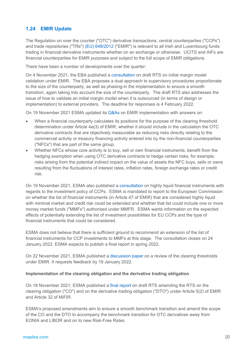# **1.24 EMIR Update**

The Regulation on over the counter ("OTC") derivative transactions, central counterparties ("CCPs") and trade repositories ("TRs") [\(EU\) 648/2012](http://eur-lex.europa.eu/legal-content/EN/TXT/?uri=celex%3A32012R0648) ("EMIR") is relevant to all Irish and Luxembourg funds trading in financial derivative instruments whether on an exchange or otherwise. UCITS and AIFs are financial counterparties for EMIR purposes and subject to the full scope of EMIR obligations.

There have been a number of developments over the quarter:

On 4 November 2021, the EBA published a [consultation](https://www.eba.europa.eu/sites/default/documents/files/document_library/Publications/Consultations/2022/Consultation%20on%20draft%20RTS%20on%20IMMV%20under%20EMIR/1023511/CP%20RTS%20on%20Initial%20Margin%20Model%20Validation.pdf) on draft RTS on initial margin model validation under EMIR. The EBA proposes a dual approach to supervisory procedures proportionate to the size of the counterparty, as well as phasing-in the implementation to ensure a smooth transition, again taking into account the size of the counterparty. The draft RTS also addresses the issue of how to validate an initial margin model when it is outsourced (in terms of design or implementation) to external providers. The deadline for responses is 4 February 2022.

On 19 November 2021 ESMA updated its [Q&As](https://www.esma.europa.eu/press-news/esma-news/new-qas-available-1) on EMIR implementation with answers on:

- When a financial counterparty calculates its positions for the purpose of the clearing threshold determination under Article 4a(3) of EMIR, whether it should include in the calculation the OTC derivative contracts that are objectively measurable as reducing risks directly relating to the commercial activity or treasury financing activity entered into by the non-financial counterparties ("NFCs") that are part of the same group.
- Whether NFCs whose core activity is to buy, sell or own financial instruments, benefit from the hedging exemption when using OTC derivative contracts to hedge certain risks, for example, risks arising from the potential indirect impact on the value of assets the NFC buys, sells or owns resulting from the fluctuations of interest rates, inflation rates, foreign exchange rates or credit risk.

On 19 November 2021, ESMA also published a [consultation](https://www.esma.europa.eu/sites/default/files/library/esma91-372-1593_consultation_report_on_highly_liquid_financial_instruments_with_regards_to_the_investment_policy_of_central_counterparties_emir_article_853ae.pdf) on highly liquid financial instruments with regards to the investment policy of CCPs. ESMA is mandated to report to the European Commission on whether the list of financial instruments (in Article 47 of EMIR) that are considered highly liquid with minimal market and credit risk could be extended and whether that list could include one or more money market funds ("MMFs") authorised under MMFR. ESMA wants information on the expected effects of potentially extending the list of investment possibilities for EU CCPs and the type of financial instruments that could be considered.

ESMA does not believe that there is sufficient ground to recommend an extension of the list of financial instruments for CCP investments to MMFs at this stage. The consultation closes on 24 January 2022. ESMA expects to publish a final report in spring 2022.

On 22 November 2021, ESMA published a [discussion paper](https://www.esma.europa.eu/sites/default/files/library/esma_70-156-5010_review_of_the_clearing_thresholds_under_emir.pdf) on a review of the clearing thresholds under EMIR. It requests feedback by 19 January 2022.

#### **Implementation of the clearing obligation and the derivative trading obligation**

On 18 November 2021, ESMA published a [final report](https://www.esma.europa.eu/sites/default/files/library/esma70-156-4953_final_report_on_the_co_and_dto_re_benchmark_transition.pdf) on draft RTS amending the RTS on the clearing obligation ("CO") and on the derivative trading obligation ("DTO") under Article 5(2) of EMIR and Article 32 of MiFIR.

ESMA's proposed amendments aim to ensure a smooth benchmark transition and amend the scope of the CO and the DTO to accompany the benchmark transition for OTC derivatives away from EONIA and LIBOR and on to new Risk-Free Rates.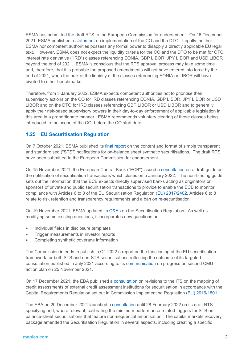ESMA has submitted the draft RTS to the European Commission for endorsement. On 16 December 2021, ESMA published a [statement](https://www.esma.europa.eu/sites/default/files/library/esma70-156-5151_statement_implementation_co_and_dto_in_view_of_the_benchmark_transition.pdf) on implementation of the CO and the DTO. Legally, neither ESMA nor competent authorities possess any formal power to disapply a directly applicable EU legal text. However, ESMA does not expect the liquidity criteria for the CO and the DTO to be met for OTC interest rate derivative ("IRD") classes referencing EONIA, GBP LIBOR, JPY LIBOR and USD LIBOR beyond the end of 2021. ESMA is conscious that the RTS approval process may take some time and, therefore, that it is probable the proposed amendments will not have entered into force by the end of 2021, when the bulk of the liquidity of the classes referencing EONIA or LIBOR will have pivoted to other benchmarks.

Therefore, from 3 January 2022, ESMA expects competent authorities not to prioritise their supervisory actions on the CO for IRD classes referencing EONIA, GBP LIBOR, JPY LIBOR or USD LIBOR and on the DTO for IRD classes referencing GBP LIBOR or USD LIBOR and to generally apply their risk-based supervisory powers in their day-to-day enforcement of applicable legislation in this area in a proportionate manner. ESMA recommends voluntary clearing of those classes being introduced to the scope of the CO, before the CO start date.

# **1.25 EU Securitisation Regulation**

On 7 October 2021, ESMA published its [final report](https://www.esma.europa.eu/sites/default/files/library/esma82-402-683_final_report_on_sts_notification_for_synthetic_securitisations.pdf) on the content and format of simple transparent and standardised ("STS") notifications for on-balance sheet synthetic securitisations. The draft RTS have been submitted to the European Commission for endorsement.

On 15 November 2021, the European Central Bank ("ECB") issued a [consultation](https://www.bankingsupervision.europa.eu/press/pr/date/2021/html/ssm.pr211115%7E6c7fd6b850.en.html) on a draft guide on the notification of securitisation transactions which closes on 5 January 2022. The non-binding guide sets out the information that the ECB expects directly supervised banks acting as originators or sponsors of private and public securitisation transactions to provide to enable the ECB to monitor compliance with Articles 6 to 8 of the EU Securitisation Regulation [\(EU\) 2017/2402.](https://eur-lex.europa.eu/legal-content/EN/TXT/?uri=uriserv:OJ.L_.2017.347.01.0035.01.ENG) Articles 6 to 8 relate to risk retention and transparency requirements and a ban on re-securitisation.

On 19 November 2021, ESMA updated its [Q&As](https://www.esma.europa.eu/press-news/esma-news/new-qas-available-1) on the Securitisation Regulation. As well as modifying some existing questions, it incorporates new questions on:

- Individual fields in disclosure templates
- Trigger measurements in investor reports
- Completing synthetic coverage information

The Commission intends to publish in Q1 2022 a report on the functioning of the EU securitisation framework for both STS and non-STS securitisations reflecting the outcome of its targeted consultation published in July 2021 according to its [communication](https://eur-lex.europa.eu/resource.html?uri=cellar:999cc825-4dde-11ec-91ac-01aa75ed71a1.0001.02/DOC_1&format=PDF) on progress on second CMU action plan on 25 November 2021.

On 17 December 2021, the EBA published a [consultation](https://www.eba.europa.eu/sites/default/documents/files/document_library/Publications/Consultations/2022/Consultation%20on%20ITS%20amending%20Implementing%20Regulation%20(EU)%202016-1801%20on%20the%20mapping%20of%20ECAIs%E2%80%99%20credit%20assessments%20for%20securitisation%20/C/1025536/CP%20amending%20draft%20ITS%20ECAIs%20mapping%20CRR%20art%20270e.pdf) on revisions to the ITS on the mapping of credit assessments of external credit assessment institutions for securitisation in accordance with the Capital Requirements Regulation set out in Commission Implementing Regulation [\(EU\) 2016/1801.](https://eur-lex.europa.eu/legal-content/EN/TXT/?uri=CELEX%3A32016R1801)

The EBA on 20 December 2021 launched a [consultation](https://www.eba.europa.eu/eba-consults-performance-related-triggers-non-sequential-amortisation-systems-simple-transparent-and) until 28 February 2022 on its draft RTS specifying and, where relevant, calibrating the minimum performance-related triggers for STS onbalance-sheet securitisations that feature non-sequential amortisation. The capital markets recovery package amended the Securitisation Regulation in several aspects, including creating a specific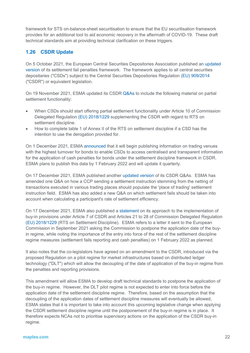framework for STS on-balance-sheet securitisation to ensure that the EU securitisation framework provides for an additional tool to aid economic recovery in the aftermath of COVID-19. These draft technical standards aim at providing technical clarification on these triggers.

# **1.26 CSDR Update**

On 5 October 2021, the European Central Securities Depositories Association published an [updated](https://ecsda.eu/wp-content/uploads/2021/10/2021_10_05_ECSDA_CSDR_Penalties_Framework.pdf)  [version](https://ecsda.eu/wp-content/uploads/2021/10/2021_10_05_ECSDA_CSDR_Penalties_Framework.pdf) of its settlement fail penalties framework. The framework applies to all central securities depositaries ("CSDs") subject to the Central Securities Depositories Regulation [\(EU\) 909/2014](https://eur-lex.europa.eu/legal-content/EN/TXT/?uri=CELEX%3A32014R0909) ("CSDR") or equivalent legislation.

On 19 November 2021, ESMA updated its CSDR [Q&As](https://www.esma.europa.eu/press-news/esma-news/new-qas-available-1) to include the following material on partial settlement functionality:

- When CSDs should start offering partial settlement functionality under Article 10 of Commission Delegated Regulation [\(EU\) 2018/1229](https://eur-lex.europa.eu/legal-content/EN/TXT/?uri=CELEX%3A32018R1229&qid=1641393830428) supplementing the CSDR with regard to RTS on settlement discipline.
- How to complete table 1 of Annex II of the RTS on settlement discipline if a CSD has the intention to use the derogation provided for.

On 1 December 2021, ESMA [announced](https://www.esma.europa.eu/press-news/esma-news/esma-announces-upcoming-publication-aimed-csds) that it will begin publishing information on trading venues with the highest turnover for bonds to enable CSDs to access centralised and transparent information for the application of cash penalties for bonds under the settlement discipline framework in CSDR. ESMA plans to publish this data by 1 February 2022 and will update it quarterly.

On 17 December 2021, ESMA published another [updated version](https://www.esma.europa.eu/sites/default/files/library/esma70-708036281-2_csdr_qas_1.pdf) of its CSDR Q&As. ESMA has amended one Q&A on how a CCP sending a settlement instruction stemming from the netting of transactions executed in various trading places should populate the 'place of trading' settlement instruction field. ESMA has also added a new Q&A on which settlement fails should be taken into account when calculating a participant's rate of settlement efficiency.

On 17 December 2021, ESMA also published a [statement](https://www.esma.europa.eu/sites/default/files/library/esma70-156-5153_public_statement_on_buy-in.pdf) on its approach to the implementation of buy-in provisions under Article 7 of CSDR and Articles 21 to 28 of Commission Delegated Regulation [\(EU\) 2018/1229](https://eur-lex.europa.eu/legal-content/EN/TXT/?uri=CELEX%3A32018R1229&qid=1641393863266) (RTS on Settlement Discipline). ESMA refers to a letter it sent to the European Commission in September 2021 asking the Commission to postpone the application date of the buyin regime, while noting the importance of the entry into force of the rest of the settlement discipline regime measures (settlement fails reporting and cash penalties) on 1 February 2022 as planned.

It also notes that the co-legislators have agreed on an amendment to the CSDR, introduced via the proposed Regulation on a pilot regime for market infrastructures based on distributed ledger technology ("DLT") which will allow the decoupling of the date of application of the buy-in regime from the penalties and reporting provisions.

This amendment will allow ESMA to develop draft technical standards to postpone the application of the buy-in regime. However, the DLT pilot regime is not expected to enter into force before the application date of the settlement discipline regime. Therefore, based on the assumption that the decoupling of the application dates of settlement discipline measures will eventually be allowed, ESMA states that it is important to take into account this upcoming legislative change when applying the CSDR settlement discipline regime until the postponement of the buy-in regime is in place. It therefore expects NCAs not to prioritise supervisory actions on the application of the CSDR buy-in regime.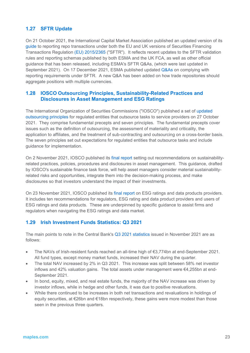# **1.27 SFTR Update**

On 21 October 2021, the International Capital Market Association published an updated version of its [guide](https://www.icmagroup.org/assets/documents/Regulatory/Repo/SFTR/ICMA-ERCC-Recommendations-for-Reporting-under-SFTR-October-2021-201021.pdf) to reporting repo transactions under both the EU and UK versions of Securities Financing Transactions Regulation [\(EU\) 2015/2365](https://eur-lex.europa.eu/legal-content/EN/TXT/?uri=CELEX%3A32015R2365&qid=1641393161744) ("SFTR"). It reflects recent updates to the SFTR validation rules and reporting schemas published by both ESMA and the UK FCA, as well as other official guidance that has been released, including ESMA's SFTR Q&As, (which were last updated in September 2021). On 17 December 2021, ESMA published updated [Q&As](https://www.esma.europa.eu/sites/default/files/library/esma74-362-893_qas_on_sftr_data_reporting.pdf) on complying with reporting requirements under SFTR. A new Q&A has been added on how trade repositories should aggregate positions with multiple currencies.

# **1.28 IOSCO Outsourcing Principles, Sustainability-Related Practices and Disclosures in Asset Management and ESG Ratings**

The International Organization of Securities Commissions ("IOSCO") published a set of [updated](https://www.iosco.org/news/pdf/IOSCONEWS622.pdf#msdynttrid=gSkh2WyrsNhjDHpEyVLjYCwnqKFV7oAX7TU6JsjRZm8)  [outsourcing principles](https://www.iosco.org/news/pdf/IOSCONEWS622.pdf#msdynttrid=gSkh2WyrsNhjDHpEyVLjYCwnqKFV7oAX7TU6JsjRZm8) for regulated entities that outsource tasks to service providers on 27 October 2021. They comprise fundamental precepts and seven principles. The fundamental precepts cover issues such as the definition of outsourcing, the assessment of materiality and criticality, the application to affiliates, and the treatment of sub-contracting and outsourcing on a cross-border basis. The seven principles set out expectations for regulated entities that outsource tasks and include guidance for implementation.

On 2 November 2021, IOSCO published its [final report](https://www.iosco.org/library/pubdocs/pdf/IOSCOPD688.pdf) setting out recommendations on sustainabilityrelated practices, policies, procedures and disclosures in asset management. This guidance, drafted by IOSCO's sustainable finance task force, will help asset managers consider material sustainabilityrelated risks and opportunities, integrate them into the decision-making process, and make disclosures so that investors understand the impact of their investments.

On 23 November 2021, IOSCO published its [final report](https://www.iosco.org/library/pubdocs/pdf/IOSCOPD690.pdf) on ESG ratings and data products providers. It includes ten recommendations for regulators, ESG rating and data product providers and users of ESG ratings and data products. These are underpinned by specific guidance to assist firms and regulators when navigating the ESG ratings and data market.

# **1.29 Irish Investment Funds Statistics: Q3 2021**

The main points to note in the Central Bank's Q3 2021 [statistics](https://www.centralbank.ie/statistics/data-and-analysis/other-financial-sector-statistics/investment-funds) issued in November 2021 are as follows:

- The NAVs of Irish-resident funds reached an all-time high of €3,774bn at end-September 2021. All fund types, except money market funds, increased their NAV during the quarter.
- The total NAV increased by 2% in Q3 2021. This increase was split between 58% net investor inflows and 42% valuation gains. The total assets under management were  $\epsilon$ 4,255bn at end-September 2021.
- In bond, equity, mixed, and real estate funds, the majority of the NAV increase was driven by investor inflows, while in hedge and other funds, it was due to positive revaluations.
- While there continued to be increases in both net transactions and revaluations in holdings of equity securities, at €26bn and €18bn respectively, these gains were more modest than those seen in the previous three quarters.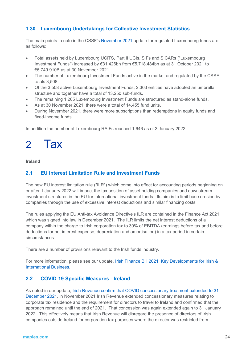# **1.30 Luxembourg Undertakings for Collective Investment Statistics**

The main points to note in the CSSF's [November 2021](https://www.cssf.lu/en/2021/12/global-situation-of-undertakings-for-collective-investment-at-the-end-of-november-2021/https:/www.cssf.lu/en/2021/09/global-situation-of-undertakings-for-collective-investment-at-the-end-of-august-2021/) update for regulated Luxembourg funds are as follows:

- Total assets held by Luxembourg UCITS, Part II UCIs, SIFs and SICARs ("Luxembourg Investment Funds") increased by €31.426bn from €5,718.484bn as at 31 October 2021 to €5,749.910B as at 30 November 2021.
- The number of Luxembourg Investment Funds active in the market and regulated by the CSSF totals 3,508.
- Of the 3,508 active Luxembourg Investment Funds, 2,303 entities have adopted an umbrella structure and together have a total of 13,250 sub-funds.
- The remaining 1,205 Luxembourg Investment Funds are structured as stand-alone funds.
- As at 30 November 2021, there were a total of 14,455 fund units.
- During November 2021, there were more subscriptions than redemptions in equity funds and fixed-income funds.

In addition the number of Luxembourg RAIFs reached 1,646 as of 3 January 2022.

# 2 Tax

#### **Ireland**

### **2.1 EU Interest Limitation Rule and Investment Funds**

The new EU interest limitation rule ("ILR") which come into effect for accounting periods beginning on or after 1 January 2022 will impact the tax position of asset holding companies and downstream investment structures in the EU for international investment funds. Its aim is to limit base erosion by companies through the use of excessive interest deductions and similar financing costs.

The rules applying the EU Anti-tax Avoidance Directive's ILR are contained in the Finance Act 2021 which was signed into law in December 2021. The ILR limits the net interest deductions of a company within the charge to Irish corporation tax to 30% of EBITDA (earnings before tax and before deductions for net interest expense, depreciation and amortisation) in a tax period in certain circumstances.

There are a number of provisions relevant to the Irish funds industry.

For more information, please see our update, [Irish Finance Bill 2021: Key](https://maples.com/en/knowledge-centre/2021/10/irish-finance-bill-2021-key-developments-for-irish-and-international-business) Developments for Irish & [International Business.](https://maples.com/en/knowledge-centre/2021/10/irish-finance-bill-2021-key-developments-for-irish-and-international-business)

# **2.2 COVID-19 Specific Measures - Ireland**

As noted in our update, [Irish Revenue confirm that COVID concessionary treatment extended to 31](https://thoughts.maples.com/post/102ha8v/irish-revenue-confirm-that-covid-concessionary-treatment-extended-to-31-december)  [December 2021,](https://thoughts.maples.com/post/102ha8v/irish-revenue-confirm-that-covid-concessionary-treatment-extended-to-31-december) in November 2021 Irish Revenue extended concessionary measures relating to corporate tax residence and the requirement for directors to travel to Ireland and confirmed that the approach remained until the end of 2021. That concession was again extended again to 31 January 2022. This effectively means that Irish Revenue will disregard the presence of directors of Irish companies outside Ireland for corporation tax purposes where the director was restricted from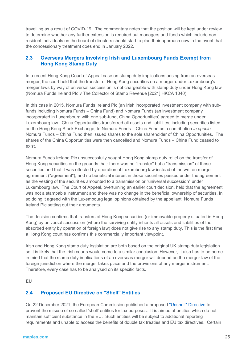travelling as a result of COVID-19. The commentary notes that the position will be kept under review to determine whether any further extension is required but managers and funds which include nonresident individuals on the board of directors should start to plan their approach now in the event that the concessionary treatment does end in January 2022.

# **2.3 Overseas Mergers Involving Irish and Luxembourg Funds Exempt from Hong Kong Stamp Duty**

In a recent Hong Kong Court of Appeal case on stamp duty implications arising from an overseas merger, the court held that the transfer of Hong Kong securities on a merger under Luxembourg's merger laws by way of universal succession is not chargeable with stamp duty under Hong Kong law (Nomura Funds Ireland Plc v The Collector of Stamp Revenue [2021] HKCA 1040).

In this case in 2015, Nomura Funds Ireland Plc (an Irish incorporated investment company with subfunds including Nomura Funds – China Fund) and Nomura Funds (an investment company incorporated in Luxembourg with one sub-fund, China Opportunities) agreed to merge under Luxembourg law. China Opportunities transferred all assets and liabilities, including securities listed on the Hong Kong Stock Exchange, to Nomura Funds – China Fund as a contribution *in specie*. Nomura Funds – China Fund then issued shares to the sole shareholder of China Opportunities. The shares of the China Opportunities were then cancelled and Nomura Funds – China Fund ceased to exist.

Nomura Funds Ireland Plc unsuccessfully sought Hong Kong stamp duty relief on the transfer of Hong Kong securities on the grounds that: there was no "transfer" but a "transmission" of those securities and that it was effected by operation of Luxembourg law instead of the written merger agreement ("agreement"); and no beneficial interest in those securities passed under the agreement as the vesting of the securities amounted to a transmission or "universal succession" under Luxembourg law. The Court of Appeal, overturning an earlier court decision, held that the agreement was not a stampable instrument and there was no change in the beneficial ownership of securities. In so doing it agreed with the Luxembourg legal opinions obtained by the appellant, Nomura Funds Ireland Plc setting out their arguments.

The decision confirms that transfers of Hong Kong securities (or immovable property situated in Hong Kong) by universal succession (where the surviving entity inherits all assets and liabilities of the absorbed entity by operation of foreign law) does not give rise to any stamp duty. This is the first time a Hong Kong court has confirms this commercially important viewpoint.

Irish and Hong Kong stamp duty legislation are both based on the original UK stamp duty legislation so it is likely that the Irish courts would come to a similar conclusion. However, it also has to be borne in mind that the stamp duty implications of an overseas merger will depend on the merger law of the foreign jurisdiction where the merger takes place and the provisions of any merger instrument. Therefore, every case has to be analysed on its specific facts.

#### **EU**

# **2.4 Proposed EU Directive on "Shell" Entities**

On 22 December 2021, the European Commission published a proposed ["Unshell" Directive](https://ec.europa.eu/commission/presscorner/detail/en/ip_21_7027) to prevent the misuse of so-called 'shell' entities for tax purposes. It is aimed at entities which do not maintain sufficient substance in the EU. Such entities will be subject to additional reporting requirements and unable to access the benefits of double tax treaties and EU tax directives. Certain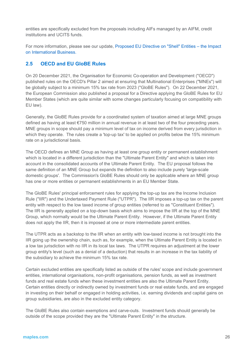entities are specifically excluded from the proposals including AIFs managed by an AIFM, credit institutions and UCITS funds.

For more information, please see our update, [Proposed EU Directive on "Shell" Entities –](https://maples.com/en/knowledge-centre/2022/1/proposed-eu-directive-on-shell-entities--the-impact-on-international-business) the Impact [on International Business.](https://maples.com/en/knowledge-centre/2022/1/proposed-eu-directive-on-shell-entities--the-impact-on-international-business)

# **2.5 OECD and EU GloBE Rules**

On 20 December 2021, the Organisation for Economic Co-operation and Development ("OECD") published rules on the OECD's Pillar 2 aimed at ensuring that Multinational Enterprises ("MNEs") will be globally subject to a minimum 15% tax rate from 2023 ("GloBE Rules"). On 22 December 2021, the European Commission also published a proposal for a Directive applying the GloBE Rules for EU Member States (which are quite similar with some changes particularly focusing on compatibility with EU law).

Generally, the GloBE Rules provide for a coordinated system of taxation aimed at large MNE groups defined as having at least €750 million in annual revenue in at least two of the four preceding years. MNE groups in scope should pay a minimum level of tax on income derived from every jurisdiction in which they operate. The rules create a 'top-up tax' to be applied on profits below the 15% minimum rate on a jurisdictional basis.

The OECD defines an MNE Group as having at least one group entity or permanent establishment which is located in a different jurisdiction than the "Ultimate Parent Entity" and which is taken into account in the consolidated accounts of the Ultimate Parent Entity. The EU proposal follows the same definition of an MNE Group but expands the definition to also include purely 'large-scale domestic groups'. The Commission's GloBE Rules should only be applicable where an MNE group has one or more entities or permanent establishments in an EU Member State.

The GloBE Rules' principal enforcement rules for applying the top-up tax are the Income Inclusion Rule ("IIR") and the Undertaxed Payment Rule ("UTPR"). The IIR imposes a top-up tax on the parent entity with respect to the low taxed income of group entities (referred to as "Constituent Entities"). The IIR is generally applied on a top-down basis which aims to impose the IIR at the top of the MNE Group, which normally would be the Ultimate Parent Entity. However, if the Ultimate Parent Entity does not apply the IIR, then it is imposed at one or more intermediate parent entities.

The UTPR acts as a backstop to the IIR when an entity with low-taxed income is not brought into the IIR going up the ownership chain, such as, for example, when the Ultimate Parent Entity is located in a low tax jurisdiction with no IIR in its local tax laws. The UTPR requires an adjustment at the lower group entity's level (such as a denial of a deduction) that results in an increase in the tax liability of the subsidiary to achieve the minimum 15% tax rate.

Certain excluded entities are specifically listed as outside of the rules' scope and include government entities, international organisations, non-profit organisations, pension funds, as well as investment funds and real estate funds when these investment entities are also the Ultimate Parent Entity. Certain entities directly or indirectly owned by investment funds or real estate funds, and are engaged in investing on their behalf or engaged in holding activities, i.e. earning dividends and capital gains on group subsidiaries, are also in the excluded entity category.

The GloBE Rules also contain exemptions and carve-outs. Investment funds should generally be outside of the scope provided they are the "Ultimate Parent Entity" in the structure.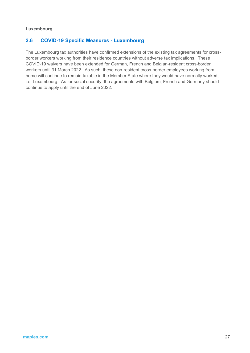#### **Luxembourg**

# **2.6 COVID-19 Specific Measures - Luxembourg**

The Luxembourg tax authorities have confirmed extensions of the existing tax agreements for crossborder workers working from their residence countries without adverse tax implications. These COVID-19 waivers have been extended for German, French and Belgian-resident cross-border workers until 31 March 2022. As such, these non-resident cross-border employees working from home will continue to remain taxable in the Member State where they would have normally worked, i.e. Luxembourg. As for social security, the agreements with Belgium, French and Germany should continue to apply until the end of June 2022.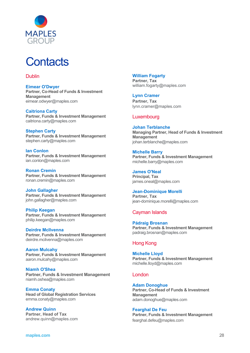

# **Contacts**

### Dublin

**Eimear O'Dwyer Partner, Co-Head of Funds & Investment Management** [eimear.odwyer@maples.com](mailto:eimear.o)

**Caitriona Carty Partner, Funds & Investment Management** caitriona.carty@maples.com

**Stephen Carty Partner, Funds & Investment Management** [stephen.carty@maples.com](mailto:stephen.carty@maples.com)

**Ian Conlon Partner, Funds & Investment Management** [ian.conlon@maples.com](mailto:ian.conlon@maples.com)

**Ronan Cremin Partner, Funds & Investment Management** [ronan.cremin@maples.com](mailto:ronan.cremin@maples.com)

**John Gallagher Partner, Funds & Investment Management** [john.gallagher@maples.com](mailto:john.gallagher@maples.com)

**Philip Keegan Partner, Funds & Investment Management** [philip.keegan@maples.com](mailto:philip.keegan@maples.com)

**Deirdre McIlvenna Partner, Funds & Investment Management** [deirdre.mcilvenna@maples.com](mailto:deirdre.mcilvenna@maples.com)

**Aaron Mulcahy Partner, Funds & Investment Management** [aaron.mulcahy@maples.com](mailto:aaron.mulcahy@maples.com)

**Niamh O'Shea Partner, Funds & Investment Management** [niamh.oshea@maples.com](mailto:niamh.o)

**Emma Conaty Head of Global Registration Services** [emma.conaty@maples.com](mailto:emma.conaty@maples.com)

**Andrew Quinn Partner, Head of Tax** [andrew.quinn@maples.com](mailto:andrew.quinn@maples.com)

#### **William Fogarty**

**Partner, Tax** [william.fogarty@maples.com](mailto:william.fogarty@maples.com)

**Lynn Cramer Partner, Tax** lynn.cramer@maples.com

# Luxembourg

**Johan Terblanche Managing Partner, Head of Funds & Investment Management** [johan.terblanche@maples.com](mailto:johan.terblanche@maples.com)

**Michelle Barry** 

**Partner, Funds & Investment Management**  [michelle.barry@maples.com](mailto:michelle.barry@maples.com)

**James O'Neal Principal, Tax**

james.oneal@maples.com

**Jean-Dominique Morelli Partner, Tax** [jean-dominique.morelli@maples.com](mailto:jean-dominique.morelli@maples.com)

# Cayman Islands

**Pádraig Brosnan Partner, Funds & Investment Management** [padraig.brosnan@maples.com](mailto:padraig.brosnan@maples.com)

# Hong Kong

**Michelle Lloyd Partner, Funds & Investment Management** [michelle.lloyd@maples.com](mailto:michelle.lloyd@maples.com)

# London

**Adam Donoghue Partner, Co-Head of Funds & Investment Management** [adam.donoghue@maples.com](mailto:adam.donoghue@maples.com)

**Fearghal De Feu Partner, Funds & Investment Management** fearghal.defeu@maples.com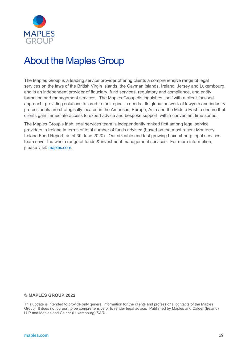

# About the Maples Group

The Maples Group is a leading service provider offering clients a comprehensive range of legal services on the laws of the British Virgin Islands, the Cayman Islands, Ireland, Jersey and Luxembourg, and is an independent provider of fiduciary, fund services, regulatory and compliance, and entity formation and management services. The Maples Group distinguishes itself with a client-focused approach, providing solutions tailored to their specific needs. Its global network of lawyers and industry professionals are strategically located in the Americas, Europe, Asia and the Middle East to ensure that clients gain immediate access to expert advice and bespoke support, within convenient time zones.

The Maples Group's Irish legal services team is independently ranked first among legal service providers in Ireland in terms of total number of funds advised (based on the most recent Monterey Ireland Fund Report, as of 30 June 2020). Our sizeable and fast growing Luxembourg legal services team cover the whole range of funds & investment management services. For more information, please visit: [maples.com.](http://www.maples.com/)

#### © **MAPLES GROUP 2022**

This update is intended to provide only general information for the clients and professional contacts of the Maples Group. It does not purport to be comprehensive or to render legal advice. Published by Maples and Calder (Ireland) LLP and Maples and Calder (Luxembourg) SARL.